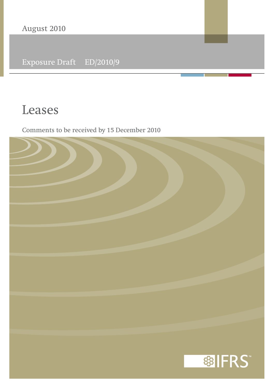Exposure Draft ED/2010/9

# **Leases**

Comments to be received by 15 December 2010

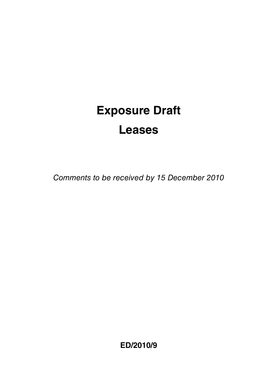# **Exposure Draft Leases**

Comments to be received by 15 December 2010

**ED/2010/9**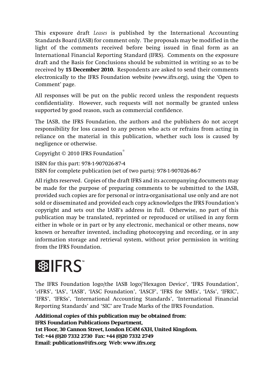This exposure draft *Leases* is published by the International Accounting Standards Board (IASB) for comment only. The proposals may be modified in the light of the comments received before being issued in final form as an International Financial Reporting Standard (IFRS). Comments on the exposure draft and the Basis for Conclusions should be submitted in writing so as to be received by **15 December 2010.** Respondents are asked to send their comments electronically to the IFRS Foundation website (www.ifrs.org), using the 'Open to Comment' page.

All responses will be put on the public record unless the respondent requests confidentiality. However, such requests will not normally be granted unless supported by good reason, such as commercial confidence.

The IASB, the IFRS Foundation, the authors and the publishers do not accept responsibility for loss caused to any person who acts or refrains from acting in reliance on the material in this publication, whether such loss is caused by negligence or otherwise.

Copyright © 2010 IFRS Foundation®

ISBN for this part: 978-1-907026-87-4 ISBN for complete publication (set of two parts): 978-1-907026-86-7

All rights reserved. Copies of the draft IFRS and its accompanying documents may be made for the purpose of preparing comments to be submitted to the IASB, provided such copies are for personal or intra-organisational use only and are not sold or disseminated and provided each copy acknowledges the IFRS Foundation's copyright and sets out the IASB's address in full. Otherwise, no part of this publication may be translated, reprinted or reproduced or utilised in any form either in whole or in part or by any electronic, mechanical or other means, now known or hereafter invented, including photocopying and recording, or in any information storage and retrieval system, without prior permission in writing from the IFRS Foundation.

# 图 IFRS

The IFRS Foundation logo/the IASB logo/'Hexagon Device', 'IFRS Foundation', '*e*IFRS', 'IAS', 'IASB', 'IASC Foundation', 'IASCF', 'IFRS for SMEs', 'IASs', 'IFRIC', 'IFRS', 'IFRSs', 'International Accounting Standards', 'International Financial Reporting Standards' and 'SIC' are Trade Marks of the IFRS Foundation.

**Additional copies of this publication may be obtained from: IFRS Foundation Publications Department, 1st Floor, 30 Cannon Street, London EC4M 6XH, United Kingdom. Tel: +44 (0)20 7332 2730 Fax: +44 (0)20 7332 2749 Email: publications@ifrs.org Web: www.ifrs.org**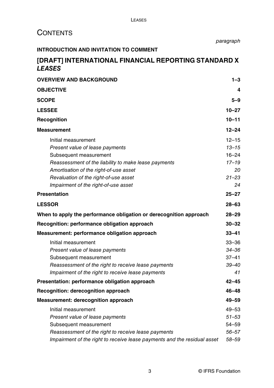# **CONTENTS**

paragraph

#### **INTRODUCTION AND INVITATION TO COMMENT**

### **[DRAFT] INTERNATIONAL FINANCIAL REPORTING STANDARD X**  *LEASES*

| <b>OVERVIEW AND BACKGROUND</b>                                                                                                                                                                                                                                      | 1–3                                                                       |
|---------------------------------------------------------------------------------------------------------------------------------------------------------------------------------------------------------------------------------------------------------------------|---------------------------------------------------------------------------|
| <b>OBJECTIVE</b>                                                                                                                                                                                                                                                    | 4                                                                         |
| <b>SCOPE</b>                                                                                                                                                                                                                                                        | 5-9                                                                       |
| <b>LESSEE</b>                                                                                                                                                                                                                                                       | $10 - 27$                                                                 |
| Recognition                                                                                                                                                                                                                                                         | $10 - 11$                                                                 |
| <b>Measurement</b>                                                                                                                                                                                                                                                  | $12 - 24$                                                                 |
| Initial measurement<br>Present value of lease payments<br>Subsequent measurement<br>Reassessment of the liability to make lease payments<br>Amortisation of the right-of-use asset<br>Revaluation of the right-of-use asset<br>Impairment of the right-of-use asset | $12 - 15$<br>$13 - 15$<br>$16 - 24$<br>$17 - 19$<br>20<br>$21 - 23$<br>24 |
| <b>Presentation</b>                                                                                                                                                                                                                                                 | $25 - 27$                                                                 |
| <b>LESSOR</b>                                                                                                                                                                                                                                                       | $28 - 63$                                                                 |
| When to apply the performance obligation or derecognition approach                                                                                                                                                                                                  | $28 - 29$                                                                 |
| Recognition: performance obligation approach                                                                                                                                                                                                                        | $30 - 32$                                                                 |
| Measurement: performance obligation approach                                                                                                                                                                                                                        | $33 - 41$                                                                 |
| Initial measurement<br>Present value of lease payments<br>Subsequent measurement<br>Reassessment of the right to receive lease payments<br>Impairment of the right to receive lease payments                                                                        | $33 - 36$<br>$34 - 36$<br>$37 - 41$<br>$39 - 40$<br>41                    |
| Presentation: performance obligation approach                                                                                                                                                                                                                       | $42 - 45$                                                                 |
| Recognition: derecognition approach                                                                                                                                                                                                                                 | $46 - 48$                                                                 |
| Measurement: derecognition approach                                                                                                                                                                                                                                 | 49–59                                                                     |
| Initial measurement<br>Present value of lease payments<br>Subsequent measurement<br>Reassessment of the right to receive lease payments<br>Impairment of the right to receive lease payments and the residual asset                                                 | $49 - 53$<br>$51 - 53$<br>$54 - 59$<br>$56 - 57$<br>58–59                 |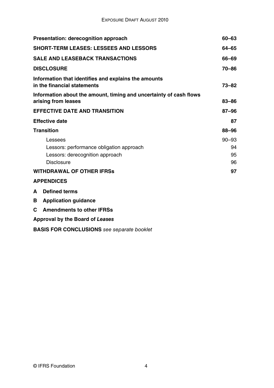| Presentation: derecognition approach                                                      | 60-63     |
|-------------------------------------------------------------------------------------------|-----------|
| <b>SHORT-TERM LEASES: LESSEES AND LESSORS</b>                                             | 64-65     |
| <b>SALE AND LEASEBACK TRANSACTIONS</b>                                                    | 66-69     |
| <b>DISCLOSURE</b>                                                                         | 70–86     |
| Information that identifies and explains the amounts<br>in the financial statements       | 73-82     |
| Information about the amount, timing and uncertainty of cash flows<br>arising from leases | $83 - 86$ |
| <b>EFFECTIVE DATE AND TRANSITION</b>                                                      | $87 - 96$ |
| <b>Effective date</b>                                                                     | 87        |
| <b>Transition</b>                                                                         | 88-96     |
| Lessees                                                                                   | $90 - 93$ |
| Lessors: performance obligation approach                                                  | 94        |
| Lessors: derecognition approach                                                           | 95        |
| Disclosure                                                                                | 96        |
| <b>WITHDRAWAL OF OTHER IFRSs</b>                                                          | 97        |
| <b>APPENDICES</b>                                                                         |           |
|                                                                                           |           |

- **A Defined terms**
- **B Application guidance**
- **C Amendments to other IFRSs**

**Approval by the Board of** *Leases*

**BASIS FOR CONCLUSIONS** see separate booklet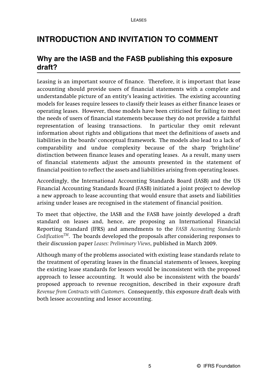# **INTRODUCTION AND INVITATION TO COMMENT**

# **Why are the IASB and the FASB publishing this exposure draft?**

Leasing is an important source of finance. Therefore, it is important that lease accounting should provide users of financial statements with a complete and understandable picture of an entity's leasing activities. The existing accounting models for leases require lessees to classify their leases as either finance leases or operating leases. However, those models have been criticised for failing to meet the needs of users of financial statements because they do not provide a faithful representation of leasing transactions. In particular they omit relevant information about rights and obligations that meet the definitions of assets and liabilities in the boards' conceptual framework. The models also lead to a lack of comparability and undue complexity because of the sharp 'bright-line' distinction between finance leases and operating leases. As a result, many users of financial statements adjust the amounts presented in the statement of financial position to reflect the assets and liabilities arising from operating leases.

Accordingly, the International Accounting Standards Board (IASB) and the US Financial Accounting Standards Board (FASB) initiated a joint project to develop a new approach to lease accounting that would ensure that assets and liabilities arising under leases are recognised in the statement of financial position.

To meet that objective, the IASB and the FASB have jointly developed a draft standard on leases and, hence, are proposing an International Financial Reporting Standard (IFRS) and amendments to the *FASB Accounting Standards CodificationTM*. The boards developed the proposals after considering responses to their discussion paper *Leases: Preliminary Views*, published in March 2009.

Although many of the problems associated with existing lease standards relate to the treatment of operating leases in the financial statements of lessees, keeping the existing lease standards for lessors would be inconsistent with the proposed approach to lessee accounting. It would also be inconsistent with the boards' proposed approach to revenue recognition, described in their exposure draft *Revenue from Contracts with Customers*. Consequently, this exposure draft deals with both lessee accounting and lessor accounting.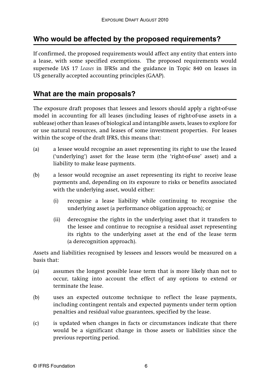# **Who would be affected by the proposed requirements?**

If confirmed, the proposed requirements would affect any entity that enters into a lease, with some specified exemptions. The proposed requirements would supersede IAS 17 *Leases* in IFRSs and the guidance in Topic 840 on leases in US generally accepted accounting principles (GAAP).

# **What are the main proposals?**

The exposure draft proposes that lessees and lessors should apply a right-of-use model in accounting for all leases (including leases of right-of-use assets in a sublease) other than leases of biological and intangible assets, leases to explore for or use natural resources, and leases of some investment properties. For leases within the scope of the draft IFRS, this means that:

- (a) a lessee would recognise an asset representing its right to use the leased ('underlying') asset for the lease term (the 'right-of-use' asset) and a liability to make lease payments.
- (b) a lessor would recognise an asset representing its right to receive lease payments and, depending on its exposure to risks or benefits associated with the underlying asset, would either:
	- (i) recognise a lease liability while continuing to recognise the underlying asset (a performance obligation approach); or
	- (ii) derecognise the rights in the underlying asset that it transfers to the lessee and continue to recognise a residual asset representing its rights to the underlying asset at the end of the lease term (a derecognition approach).

Assets and liabilities recognised by lessees and lessors would be measured on a basis that:

- (a) assumes the longest possible lease term that is more likely than not to occur, taking into account the effect of any options to extend or terminate the lease.
- (b) uses an expected outcome technique to reflect the lease payments, including contingent rentals and expected payments under term option penalties and residual value guarantees, specified by the lease.
- (c) is updated when changes in facts or circumstances indicate that there would be a significant change in those assets or liabilities since the previous reporting period.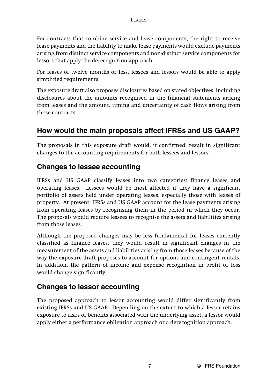For contracts that combine service and lease components, the right to receive lease payments and the liability to make lease payments would exclude payments arising from distinct service components and non-distinct service components for lessors that apply the derecognition approach.

For leases of twelve months or less, lessees and lessors would be able to apply simplified requirements.

The exposure draft also proposes disclosures based on stated objectives, including disclosures about the amounts recognised in the financial statements arising from leases and the amount, timing and uncertainty of cash flows arising from those contracts.

# **How would the main proposals affect IFRSs and US GAAP?**

The proposals in this exposure draft would, if confirmed, result in significant changes to the accounting requirements for both lessees and lessors.

# **Changes to lessee accounting**

IFRSs and US GAAP classify leases into two categories: finance leases and operating leases. Lessees would be most affected if they have a significant portfolio of assets held under operating leases, especially those with leases of property. At present, IFRSs and US GAAP account for the lease payments arising from operating leases by recognising them in the period in which they occur. The proposals would require lessees to recognise the assets and liabilities arising from those leases.

Although the proposed changes may be less fundamental for leases currently classified as finance leases, they would result in significant changes in the measurement of the assets and liabilities arising from those leases because of the way the exposure draft proposes to account for options and contingent rentals. In addition, the pattern of income and expense recognition in profit or loss would change significantly.

# **Changes to lessor accounting**

The proposed approach to lessor accounting would differ significantly from existing IFRSs and US GAAP. Depending on the extent to which a lessor retains exposure to risks or benefits associated with the underlying asset, a lessor would apply either a performance obligation approach or a derecognition approach.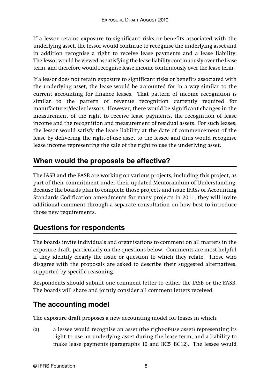If a lessor retains exposure to significant risks or benefits associated with the underlying asset, the lessor would continue to recognise the underlying asset and in addition recognise a right to receive lease payments and a lease liability. The lessor would be viewed as satisfying the lease liability continuously over the lease term, and therefore would recognise lease income continuously over the lease term.

If a lessor does not retain exposure to significant risks or benefits associated with the underlying asset, the lease would be accounted for in a way similar to the current accounting for finance leases. That pattern of income recognition is similar to the pattern of revenue recognition currently required for manufacturer/dealer lessors. However, there would be significant changes in the measurement of the right to receive lease payments, the recognition of lease income and the recognition and measurement of residual assets. For such leases, the lessor would satisfy the lease liability at the date of commencement of the lease by delivering the right-of-use asset to the lessee and thus would recognise lease income representing the sale of the right to use the underlying asset.

# **When would the proposals be effective?**

The IASB and the FASB are working on various projects, including this project, as part of their commitment under their updated Memorandum of Understanding. Because the boards plan to complete those projects and issue IFRSs or Accounting Standards Codification amendments for many projects in 2011, they will invite additional comment through a separate consultation on how best to introduce those new requirements.

# **Questions for respondents**

The boards invite individuals and organisations to comment on all matters in the exposure draft, particularly on the questions below. Comments are most helpful if they identify clearly the issue or question to which they relate. Those who disagree with the proposals are asked to describe their suggested alternatives, supported by specific reasoning.

Respondents should submit one comment letter to either the IASB or the FASB. The boards will share and jointly consider all comment letters received.

# **The accounting model**

The exposure draft proposes a new accounting model for leases in which:

(a) a lessee would recognise an asset (the right-of-use asset) representing its right to use an underlying asset during the lease term, and a liability to make lease payments (paragraphs 10 and BC5–BC12). The lessee would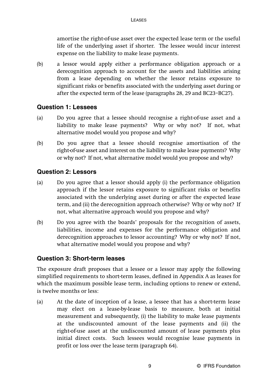amortise the right-of-use asset over the expected lease term or the useful life of the underlying asset if shorter. The lessee would incur interest expense on the liability to make lease payments.

(b) a lessor would apply either a performance obligation approach or a derecognition approach to account for the assets and liabilities arising from a lease depending on whether the lessor retains exposure to significant risks or benefits associated with the underlying asset during or after the expected term of the lease (paragraphs 28, 29 and BC23–BC27).

#### **Question 1: Lessees**

- (a) Do you agree that a lessee should recognise a right-of-use asset and a liability to make lease payments? Why or why not? If not, what alternative model would you propose and why?
- (b) Do you agree that a lessee should recognise amortisation of the right-of-use asset and interest on the liability to make lease payments? Why or why not? If not, what alternative model would you propose and why?

#### **Question 2: Lessors**

- (a) Do you agree that a lessor should apply (i) the performance obligation approach if the lessor retains exposure to significant risks or benefits associated with the underlying asset during or after the expected lease term, and (ii) the derecognition approach otherwise? Why or why not? If not, what alternative approach would you propose and why?
- (b) Do you agree with the boards' proposals for the recognition of assets, liabilities, income and expenses for the performance obligation and derecognition approaches to lessor accounting? Why or why not? If not, what alternative model would you propose and why?

#### **Question 3: Short-term leases**

The exposure draft proposes that a lessee or a lessor may apply the following simplified requirements to short-term leases, defined in Appendix A as leases for which the maximum possible lease term, including options to renew or extend, is twelve months or less:

(a) At the date of inception of a lease, a lessee that has a short-term lease may elect on a lease-by-lease basis to measure, both at initial measurement and subsequently, (i) the liability to make lease payments at the undiscounted amount of the lease payments and (ii) the right-of-use asset at the undiscounted amount of lease payments plus initial direct costs. Such lessees would recognise lease payments in profit or loss over the lease term (paragraph 64).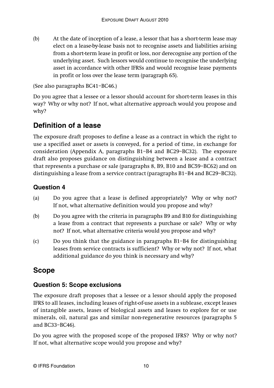(b) At the date of inception of a lease, a lessor that has a short-term lease may elect on a lease-by-lease basis not to recognise assets and liabilities arising from a short-term lease in profit or loss, nor derecognise any portion of the underlying asset. Such lessors would continue to recognise the underlying asset in accordance with other IFRSs and would recognise lease payments in profit or loss over the lease term (paragraph 65).

(See also paragraphs BC41–BC46.)

Do you agree that a lessee or a lessor should account for short-term leases in this way? Why or why not? If not, what alternative approach would you propose and why?

# **Definition of a lease**

The exposure draft proposes to define a lease as a contract in which the right to use a specified asset or assets is conveyed, for a period of time, in exchange for consideration (Appendix A, paragraphs B1–B4 and BC29–BC32). The exposure draft also proposes guidance on distinguishing between a lease and a contract that represents a purchase or sale (paragraphs 8, B9, B10 and BC59–BC62) and on distinguishing a lease from a service contract (paragraphs B1–B4 and BC29–BC32).

### **Question 4**

- (a) Do you agree that a lease is defined appropriately? Why or why not? If not, what alternative definition would you propose and why?
- (b) Do you agree with the criteria in paragraphs B9 and B10 for distinguishing a lease from a contract that represents a purchase or sale? Why or why not? If not, what alternative criteria would you propose and why?
- (c) Do you think that the guidance in paragraphs B1–B4 for distinguishing leases from service contracts is sufficient? Why or why not? If not, what additional guidance do you think is necessary and why?

# **Scope**

### **Question 5: Scope exclusions**

The exposure draft proposes that a lessee or a lessor should apply the proposed IFRS to all leases, including leases of right-of-use assets in a sublease, except leases of intangible assets, leases of biological assets and leases to explore for or use minerals, oil, natural gas and similar non-regenerative resources (paragraphs 5 and BC33–BC46).

Do you agree with the proposed scope of the proposed IFRS? Why or why not? If not, what alternative scope would you propose and why?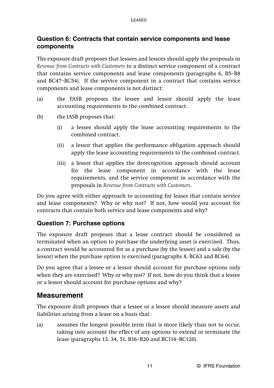#### **Question 6: Contracts that contain service components and lease components**

The exposure draft proposes that lessees and lessors should apply the proposals in *Revenue from Contracts with Customers* to a distinct service component of a contract that contains service components and lease components (paragraphs 6, B5–B8 and BC47–BC54). If the service component in a contract that contains service components and lease components is not distinct:

- (a) the FASB proposes the lessee and lessor should apply the lease accounting requirements to the combined contract.
- (b) the IASB proposes that:
	- (i) a lessee should apply the lease accounting requirements to the combined contract.
	- (ii) a lessor that applies the performance obligation approach should apply the lease accounting requirements to the combined contract.
	- (iii) a lessor that applies the derecognition approach should account for the lease component in accordance with the lease requirements, and the service component in accordance with the proposals in *Revenue from Contracts with Customers*.

Do you agree with either approach to accounting for leases that contain service and lease components? Why or why not? If not, how would you account for contracts that contain both service and lease components and why?

#### **Question 7: Purchase options**

The exposure draft proposes that a lease contract should be considered as terminated when an option to purchase the underlying asset is exercised. Thus, a contract would be accounted for as a purchase (by the lessee) and a sale (by the lessor) when the purchase option is exercised (paragraphs 8, BC63 and BC64).

Do you agree that a lessee or a lessor should account for purchase options only when they are exercised? Why or why not? If not, how do you think that a lessee or a lessor should account for purchase options and why?

### **Measurement**

The exposure draft proposes that a lessee or a lessor should measure assets and liabilities arising from a lease on a basis that:

(a) assumes the longest possible term that is more likely than not to occur, taking into account the effect of any options to extend or terminate the lease (paragraphs 13, 34, 51, B16–B20 and BC114–BC120).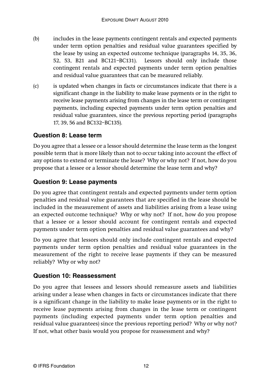- (b) includes in the lease payments contingent rentals and expected payments under term option penalties and residual value guarantees specified by the lease by using an expected outcome technique (paragraphs 14, 35, 36, 52, 53, B21 and BC121–BC131). Lessors should only include those contingent rentals and expected payments under term option penalties and residual value guarantees that can be measured reliably.
- (c) is updated when changes in facts or circumstances indicate that there is a significant change in the liability to make lease payments or in the right to receive lease payments arising from changes in the lease term or contingent payments, including expected payments under term option penalties and residual value guarantees, since the previous reporting period (paragraphs 17, 39, 56 and BC132–BC135).

#### **Question 8: Lease term**

Do you agree that a lessee or a lessor should determine the lease term as the longest possible term that is more likely than not to occur taking into account the effect of any options to extend or terminate the lease? Why or why not? If not, how do you propose that a lessee or a lessor should determine the lease term and why?

### **Question 9: Lease payments**

Do you agree that contingent rentals and expected payments under term option penalties and residual value guarantees that are specified in the lease should be included in the measurement of assets and liabilities arising from a lease using an expected outcome technique? Why or why not? If not, how do you propose that a lessee or a lessor should account for contingent rentals and expected payments under term option penalties and residual value guarantees and why?

Do you agree that lessors should only include contingent rentals and expected payments under term option penalties and residual value guarantees in the measurement of the right to receive lease payments if they can be measured reliably? Why or why not?

#### **Question 10: Reassessment**

Do you agree that lessees and lessors should remeasure assets and liabilities arising under a lease when changes in facts or circumstances indicate that there is a significant change in the liability to make lease payments or in the right to receive lease payments arising from changes in the lease term or contingent payments (including expected payments under term option penalties and residual value guarantees) since the previous reporting period? Why or why not? If not, what other basis would you propose for reassessment and why?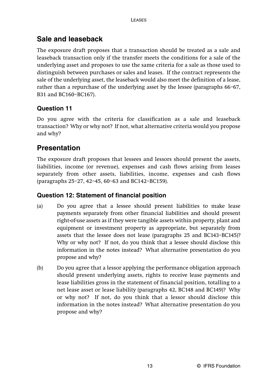# **Sale and leaseback**

The exposure draft proposes that a transaction should be treated as a sale and leaseback transaction only if the transfer meets the conditions for a sale of the underlying asset and proposes to use the same criteria for a sale as those used to distinguish between purchases or sales and leases. If the contract represents the sale of the underlying asset, the leaseback would also meet the definition of a lease, rather than a repurchase of the underlying asset by the lessee (paragraphs 66–67, B31 and BC160–BC167).

### **Question 11**

Do you agree with the criteria for classification as a sale and leaseback transaction? Why or why not? If not, what alternative criteria would you propose and why?

# **Presentation**

The exposure draft proposes that lessees and lessors should present the assets, liabilities, income (or revenue), expenses and cash flows arising from leases separately from other assets, liabilities, income, expenses and cash flows (paragraphs 25–27, 42–45, 60–63 and BC142–BC159).

#### **Question 12: Statement of financial position**

- (a) Do you agree that a lessee should present liabilities to make lease payments separately from other financial liabilities and should present right-of-use assets as if they were tangible assets within property, plant and equipment or investment property as appropriate, but separately from assets that the lessee does not lease (paragraphs 25 and BC143–BC145)? Why or why not? If not, do you think that a lessee should disclose this information in the notes instead? What alternative presentation do you propose and why?
- (b) Do you agree that a lessor applying the performance obligation approach should present underlying assets, rights to receive lease payments and lease liabilities gross in the statement of financial position, totalling to a net lease asset or lease liability (paragraphs 42, BC148 and BC149)? Why or why not? If not, do you think that a lessor should disclose this information in the notes instead? What alternative presentation do you propose and why?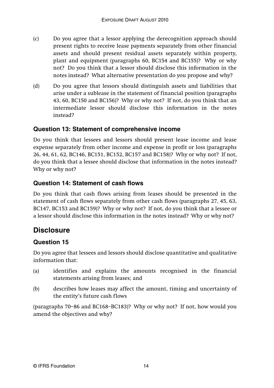- (c) Do you agree that a lessor applying the derecognition approach should present rights to receive lease payments separately from other financial assets and should present residual assets separately within property, plant and equipment (paragraphs 60, BC154 and BC155)? Why or why not? Do you think that a lessor should disclose this information in the notes instead? What alternative presentation do you propose and why?
- (d) Do you agree that lessors should distinguish assets and liabilities that arise under a sublease in the statement of financial position (paragraphs 43, 60, BC150 and BC156)? Why or why not? If not, do you think that an intermediate lessor should disclose this information in the notes instead?

#### **Question 13: Statement of comprehensive income**

Do you think that lessees and lessors should present lease income and lease expense separately from other income and expense in profit or loss (paragraphs 26, 44, 61, 62, BC146, BC151, BC152, BC157 and BC158)? Why or why not? If not, do you think that a lessee should disclose that information in the notes instead? Why or why not?

#### **Question 14: Statement of cash flows**

Do you think that cash flows arising from leases should be presented in the statement of cash flows separately from other cash flows (paragraphs 27, 45, 63, BC147, BC153 and BC159)? Why or why not? If not, do you think that a lessee or a lessor should disclose this information in the notes instead? Why or why not?

# **Disclosure**

#### **Question 15**

Do you agree that lessees and lessors should disclose quantitative and qualitative information that:

- (a) identifies and explains the amounts recognised in the financial statements arising from leases; and
- (b) describes how leases may affect the amount, timing and uncertainty of the entity's future cash flows

(paragraphs 70–86 and BC168–BC183)? Why or why not? If not, how would you amend the objectives and why?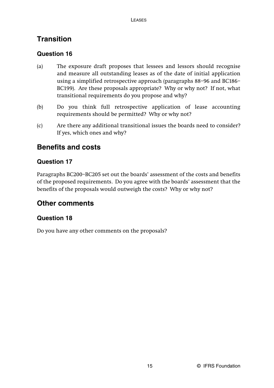# **Transition**

#### **Question 16**

- (a) The exposure draft proposes that lessees and lessors should recognise and measure all outstanding leases as of the date of initial application using a simplified retrospective approach (paragraphs 88–96 and BC186– BC199). Are these proposals appropriate? Why or why not? If not, what transitional requirements do you propose and why?
- (b) Do you think full retrospective application of lease accounting requirements should be permitted? Why or why not?
- (c) Are there any additional transitional issues the boards need to consider? If yes, which ones and why?

# **Benefits and costs**

#### **Question 17**

Paragraphs BC200–BC205 set out the boards' assessment of the costs and benefits of the proposed requirements. Do you agree with the boards' assessment that the benefits of the proposals would outweigh the costs? Why or why not?

### **Other comments**

#### **Question 18**

Do you have any other comments on the proposals?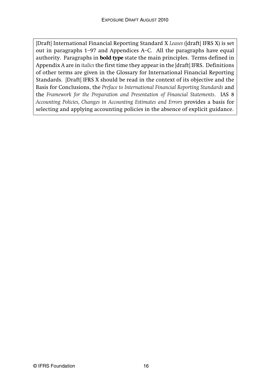[Draft] International Financial Reporting Standard X *Leases* ([draft] IFRS X) is set out in paragraphs 1–97 and Appendices A–C. All the paragraphs have equal authority. Paragraphs in **bold type** state the main principles. Terms defined in Appendix A are in *italics* the first time they appear in the [draft] IFRS. Definitions of other terms are given in the Glossary for International Financial Reporting Standards. [Draft] IFRS X should be read in the context of its objective and the Basis for Conclusions, the *Preface to International Financial Reporting Standards* and the *Framework for the Preparation and Presentation of Financial Statements*. IAS 8 *Accounting Policies, Changes in Accounting Estimates and Errors* provides a basis for selecting and applying accounting policies in the absence of explicit guidance.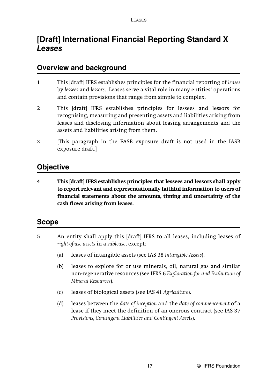# **[Draft] International Financial Reporting Standard X**  *Leases*

# **Overview and background**

- 1 This [draft] IFRS establishes principles for the financial reporting of *leases* by *lessees* and *lessors*. Leases serve a vital role in many entities' operations and contain provisions that range from simple to complex.
- 2 This [draft] IFRS establishes principles for lessees and lessors for recognising, measuring and presenting assets and liabilities arising from leases and disclosing information about leasing arrangements and the assets and liabilities arising from them.
- 3 [This paragraph in the FASB exposure draft is not used in the IASB exposure draft.]

# **Objective**

**4 This [draft] IFRS establishes principles that lessees and lessors shall apply to report relevant and representationally faithful information to users of financial statements about the amounts, timing and uncertainty of the cash flows arising from leases.**

### **Scope**

- 5 An entity shall apply this [draft] IFRS to all leases, including leases of *right-of-use assets* in a *sublease*, except:
	- (a) leases of intangible assets (see IAS 38 *Intangible Assets*).
	- (b) leases to explore for or use minerals, oil, natural gas and similar non-regenerative resources (see IFRS 6 *Exploration for and Evaluation of Mineral Resources*).
	- (c) leases of biological assets (see IAS 41 *Agriculture*).
	- (d) leases between the *date of inception* and the *date of commencement* of a lease if they meet the definition of an onerous contract (see IAS 37 *Provisions, Contingent Liabilities and Contingent Assets*).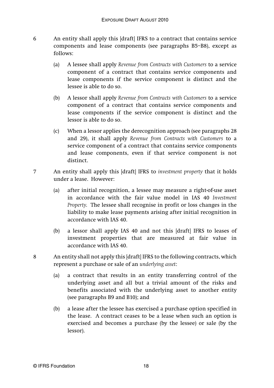- 6 An entity shall apply this [draft] IFRS to a contract that contains service components and lease components (see paragraphs B5–B8), except as follows:
	- (a) A lessee shall apply *Revenue from Contracts with Customers* to a service component of a contract that contains service components and lease components if the service component is distinct and the lessee is able to do so.
	- (b) A lessor shall apply *Revenue from Contracts with Customers* to a service component of a contract that contains service components and lease components if the service component is distinct and the lessor is able to do so.
	- (c) When a lessor applies the derecognition approach (see paragraphs 28 and 29), it shall apply *Revenue from Contracts with Customers* to a service component of a contract that contains service components and lease components, even if that service component is not distinct.
- 7 An entity shall apply this [draft] IFRS to *investment property* that it holds under a lease. However:
	- (a) after initial recognition, a lessee may measure a right-of-use asset in accordance with the fair value model in IAS 40 *Investment Property*. The lessee shall recognise in profit or loss changes in the liability to make lease payments arising after initial recognition in accordance with IAS 40.
	- (b) a lessor shall apply IAS 40 and not this [draft] IFRS to leases of investment properties that are measured at fair value in accordance with IAS 40.
- 8 An entity shall not apply this [draft] IFRS to the following contracts, which represent a purchase or sale of an *underlying asset*:
	- (a) a contract that results in an entity transferring control of the underlying asset and all but a trivial amount of the risks and benefits associated with the underlying asset to another entity (see paragraphs B9 and B10); and
	- (b) a lease after the lessee has exercised a purchase option specified in the lease. A contract ceases to be a lease when such an option is exercised and becomes a purchase (by the lessee) or sale (by the lessor).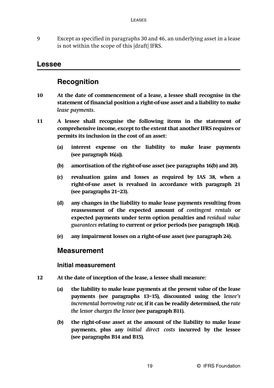9 Except as specified in paragraphs 30 and 46, an underlying asset in a lease is not within the scope of this [draft] IFRS.

#### **Lessee**

# **Recognition**

- **10 At the date of commencement of a lease, a lessee shall recognise in the statement of financial position a right-of-use asset and a liability to make** *lease payments***.**
- **11 A lessee shall recognise the following items in the statement of comprehensive income, except to the extent that another IFRS requires or permits its inclusion in the cost of an asset:**
	- **(a) interest expense on the liability to make lease payments (see paragraph 16(a)).**
	- **(b) amortisation of the right-of-use asset (see paragraphs 16(b) and 20).**
	- **(c) revaluation gains and losses as required by IAS 38, when a right-of-use asset is revalued in accordance with paragraph 21 (see paragraphs 21–23).**
	- **(d) any changes in the liability to make lease payments resulting from reassessment of the expected amount of** *contingent rentals* **or expected payments under term option penalties and** *residual value guarantees* **relating to current or prior periods (see paragraph 18(a)).**
	- **(e) any impairment losses on a right-of-use asset (see paragraph 24).**

#### **Measurement**

#### **Initial measurement**

- **12 At the date of inception of the lease, a lessee shall measure:**
	- **(a) the liability to make lease payments at the present value of the lease payments (see paragraphs 13–15), discounted using the** *lessee's incremental borrowing rate* **or, if it can be readily determined, the** *rate the lessor charges the lessee* **(see paragraph B11).**
	- **(b) the right-of-use asset at the amount of the liability to make lease payments, plus any** *initial direct costs* **incurred by the lessee (see paragraphs B14 and B15).**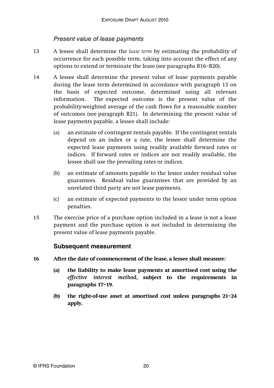#### Present value of lease payments

- 13 A lessee shall determine the *lease term* by estimating the probability of occurrence for each possible term, taking into account the effect of any options to extend or terminate the lease (see paragraphs B16–B20).
- 14 A lessee shall determine the present value of lease payments payable during the lease term determined in accordance with paragraph 13 on the basis of expected outcome, determined using all relevant information. The expected outcome is the present value of the probability-weighted average of the cash flows for a reasonable number of outcomes (see paragraph B21). In determining the present value of lease payments payable, a lessee shall include:
	- (a) an estimate of contingent rentals payable. If the contingent rentals depend on an index or a rate, the lessee shall determine the expected lease payments using readily available forward rates or indices. If forward rates or indices are not readily available, the lessee shall use the prevailing rates or indices.
	- (b) an estimate of amounts payable to the lessor under residual value guarantees. Residual value guarantees that are provided by an unrelated third party are not lease payments.
	- (c) an estimate of expected payments to the lessor under term option penalties.
- 15 The exercise price of a purchase option included in a lease is not a lease payment and the purchase option is not included in determining the present value of lease payments payable.

#### **Subsequent measurement**

- **16 After the date of commencement of the lease, a lessee shall measure:** 
	- **(a) the liability to make lease payments at amortised cost using the** *effective interest method***, subject to the requirements in paragraphs 17–19.**
	- **(b) the right-of-use asset at amortised cost unless paragraphs 21–24 apply.**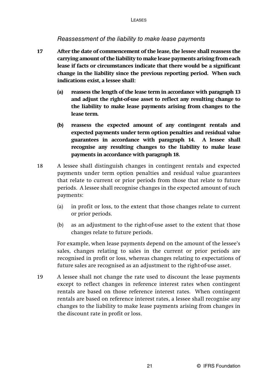#### Reassessment of the liability to make lease payments

- **17 After the date of commencement of the lease, the lessee shall reassess the carrying amount of the liability to make lease payments arising from each lease if facts or circumstances indicate that there would be a significant change in the liability since the previous reporting period. When such indications exist, a lessee shall:**
	- **(a) reassess the length of the lease term in accordance with paragraph 13 and adjust the right-of-use asset to reflect any resulting change to the liability to make lease payments arising from changes to the lease term.**
	- **(b) reassess the expected amount of any contingent rentals and expected payments under term option penalties and residual value guarantees in accordance with paragraph 14. A lessee shall recognise any resulting changes to the liability to make lease payments in accordance with paragraph 18.**
- 18 A lessee shall distinguish changes in contingent rentals and expected payments under term option penalties and residual value guarantees that relate to current or prior periods from those that relate to future periods. A lessee shall recognise changes in the expected amount of such payments:
	- (a) in profit or loss, to the extent that those changes relate to current or prior periods.
	- (b) as an adjustment to the right-of-use asset to the extent that those changes relate to future periods.

For example, when lease payments depend on the amount of the lessee's sales, changes relating to sales in the current or prior periods are recognised in profit or loss, whereas changes relating to expectations of future sales are recognised as an adjustment to the right-of-use asset.

19 A lessee shall not change the rate used to discount the lease payments except to reflect changes in reference interest rates when contingent rentals are based on those reference interest rates. When contingent rentals are based on reference interest rates, a lessee shall recognise any changes to the liability to make lease payments arising from changes in the discount rate in profit or loss.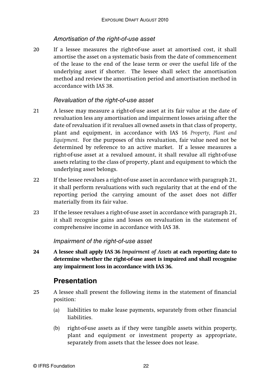#### Amortisation of the right-of-use asset

20 If a lessee measures the right-of-use asset at amortised cost, it shall amortise the asset on a systematic basis from the date of commencement of the lease to the end of the lease term or over the useful life of the underlying asset if shorter. The lessee shall select the amortisation method and review the amortisation period and amortisation method in accordance with IAS 38.

#### Revaluation of the right-of-use asset

- 21 A lessee may measure a right-of-use asset at its fair value at the date of revaluation less any amortisation and impairment losses arising after the date of revaluation if it revalues all owned assets in that class of property, plant and equipment, in accordance with IAS 16 *Property, Plant and Equipment*. For the purposes of this revaluation, fair value need not be determined by reference to an active market. If a lessee measures a right-of-use asset at a revalued amount, it shall revalue all right-of-use assets relating to the class of property, plant and equipment to which the underlying asset belongs.
- 22 If the lessee revalues a right-of-use asset in accordance with paragraph 21, it shall perform revaluations with such regularity that at the end of the reporting period the carrying amount of the asset does not differ materially from its fair value.
- 23 If the lessee revalues a right-of-use asset in accordance with paragraph 21, it shall recognise gains and losses on revaluation in the statement of comprehensive income in accordance with IAS 38.

#### Impairment of the right-of-use asset

**24 A lessee shall apply IAS 36** *Impairment of Assets* **at each reporting date to determine whether the right-of-use asset is impaired and shall recognise any impairment loss in accordance with IAS 36.** 

### **Presentation**

- 25 A lessee shall present the following items in the statement of financial position:
	- (a) liabilities to make lease payments, separately from other financial liabilities.
	- (b) right-of-use assets as if they were tangible assets within property, plant and equipment or investment property as appropriate, separately from assets that the lessee does not lease.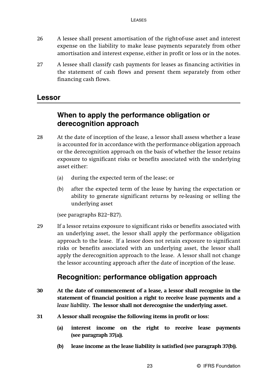- 26 A lessee shall present amortisation of the right-of-use asset and interest expense on the liability to make lease payments separately from other amortisation and interest expense, either in profit or loss or in the notes.
- 27 A lessee shall classify cash payments for leases as financing activities in the statement of cash flows and present them separately from other financing cash flows.

### **Lessor**

# **When to apply the performance obligation or derecognition approach**

- 28 At the date of inception of the lease, a lessor shall assess whether a lease is accounted for in accordance with the performance obligation approach or the derecognition approach on the basis of whether the lessor retains exposure to significant risks or benefits associated with the underlying asset either:
	- (a) during the expected term of the lease; or
	- (b) after the expected term of the lease by having the expectation or ability to generate significant returns by re-leasing or selling the underlying asset

(see paragraphs B22–B27).

29 If a lessor retains exposure to significant risks or benefits associated with an underlying asset, the lessor shall apply the performance obligation approach to the lease. If a lessor does not retain exposure to significant risks or benefits associated with an underlying asset, the lessor shall apply the derecognition approach to the lease. A lessor shall not change the lessor accounting approach after the date of inception of the lease.

# **Recognition: performance obligation approach**

- **30 At the date of commencement of a lease, a lessor shall recognise in the statement of financial position a right to receive lease payments and a** *lease liability***. The lessor shall not derecognise the underlying asset.**
- **31 A lessor shall recognise the following items in profit or loss:**
	- **(a) interest income on the right to receive lease payments (see paragraph 37(a)).**
	- **(b) lease income as the lease liability is satisfied (see paragraph 37(b)).**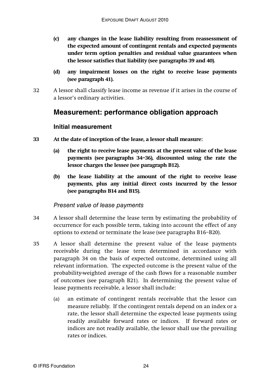- **(c) any changes in the lease liability resulting from reassessment of the expected amount of contingent rentals and expected payments under term option penalties and residual value guarantees when the lessor satisfies that liability (see paragraphs 39 and 40).**
- **(d) any impairment losses on the right to receive lease payments (see paragraph 41).**
- 32 A lessor shall classify lease income as revenue if it arises in the course of a lessor's ordinary activities.

# **Measurement: performance obligation approach**

#### **Initial measurement**

- **33 At the date of inception of the lease, a lessor shall measure:**
	- **(a) the right to receive lease payments at the present value of the lease payments (see paragraphs 34–36), discounted using the rate the lessor charges the lessee (see paragraph B12).**
	- **(b) the lease liability at the amount of the right to receive lease payments, plus any initial direct costs incurred by the lessor (see paragraphs B14 and B15).**

Present value of lease payments

- 34 A lessor shall determine the lease term by estimating the probability of occurrence for each possible term, taking into account the effect of any options to extend or terminate the lease (see paragraphs B16–B20).
- 35 A lessor shall determine the present value of the lease payments receivable during the lease term determined in accordance with paragraph 34 on the basis of expected outcome, determined using all relevant information. The expected outcome is the present value of the probability-weighted average of the cash flows for a reasonable number of outcomes (see paragraph B21). In determining the present value of lease payments receivable, a lessor shall include:
	- (a) an estimate of contingent rentals receivable that the lessor can measure reliably. If the contingent rentals depend on an index or a rate, the lessor shall determine the expected lease payments using readily available forward rates or indices. If forward rates or indices are not readily available, the lessor shall use the prevailing rates or indices.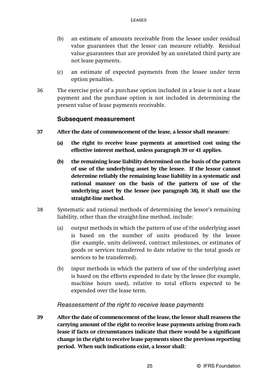- (b) an estimate of amounts receivable from the lessee under residual value guarantees that the lessor can measure reliably. Residual value guarantees that are provided by an unrelated third party are not lease payments.
- (c) an estimate of expected payments from the lessee under term option penalties.
- 36 The exercise price of a purchase option included in a lease is not a lease payment and the purchase option is not included in determining the present value of lease payments receivable.

#### **Subsequent measurement**

- **37 After the date of commencement of the lease, a lessor shall measure:**
	- **(a) the right to receive lease payments at amortised cost using the effective interest method, unless paragraph 39 or 41 applies.**
	- **(b) the remaining lease liability determined on the basis of the pattern of use of the underlying asset by the lessee. If the lessor cannot determine reliably the remaining lease liability in a systematic and rational manner on the basis of the pattern of use of the underlying asset by the lessee (see paragraph 38), it shall use the straight-line method.**
- 38 Systematic and rational methods of determining the lessor's remaining liability, other than the straight-line method, include:
	- (a) output methods in which the pattern of use of the underlying asset is based on the number of units produced by the lessee (for example, units delivered, contract milestones, or estimates of goods or services transferred to date relative to the total goods or services to be transferred).
	- (b) input methods in which the pattern of use of the underlying asset is based on the efforts expended to date by the lessee (for example, machine hours used), relative to total efforts expected to be expended over the lease term.

#### Reassessment of the right to receive lease payments

**39 After the date of commencement of the lease, the lessor shall reassess the carrying amount of the right to receive lease payments arising from each lease if facts or circumstances indicate that there would be a significant change in the right to receive lease payments since the previous reporting period. When such indications exist, a lessor shall:**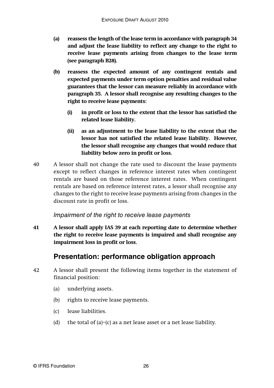- **(a) reassess the length of the lease term in accordance with paragraph 34 and adjust the lease liability to reflect any change to the right to receive lease payments arising from changes to the lease term (see paragraph B28).**
- **(b) reassess the expected amount of any contingent rentals and expected payments under term option penalties and residual value guarantees that the lessor can measure reliably in accordance with paragraph 35. A lessor shall recognise any resulting changes to the right to receive lease payments:**
	- **(i) in profit or loss to the extent that the lessor has satisfied the related lease liability.**
	- **(ii) as an adjustment to the lease liability to the extent that the lessor has not satisfied the related lease liability. However, the lessor shall recognise any changes that would reduce that liability below zero in profit or loss.**
- 40 A lessor shall not change the rate used to discount the lease payments except to reflect changes in reference interest rates when contingent rentals are based on those reference interest rates. When contingent rentals are based on reference interest rates, a lessor shall recognise any changes to the right to receive lease payments arising from changes in the discount rate in profit or loss.

#### Impairment of the right to receive lease payments

**41 A lessor shall apply IAS 39 at each reporting date to determine whether the right to receive lease payments is impaired and shall recognise any impairment loss in profit or loss.** 

# **Presentation: performance obligation approach**

- 42 A lessor shall present the following items together in the statement of financial position:
	- (a) underlying assets.
	- (b) rights to receive lease payments.
	- (c) lease liabilities.
	- (d) the total of (a)–(c) as a net lease asset or a net lease liability.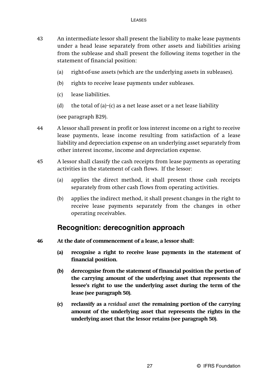- 43 An intermediate lessor shall present the liability to make lease payments under a head lease separately from other assets and liabilities arising from the sublease and shall present the following items together in the statement of financial position:
	- (a) right-of-use assets (which are the underlying assets in subleases).
	- (b) rights to receive lease payments under subleases.
	- (c) lease liabilities.
	- (d) the total of  $(a)$ – $(c)$  as a net lease asset or a net lease liability

(see paragraph B29).

- 44 A lessor shall present in profit or loss interest income on a right to receive lease payments, lease income resulting from satisfaction of a lease liability and depreciation expense on an underlying asset separately from other interest income, income and depreciation expense.
- 45 A lessor shall classify the cash receipts from lease payments as operating activities in the statement of cash flows. If the lessor:
	- (a) applies the direct method, it shall present those cash receipts separately from other cash flows from operating activities.
	- (b) applies the indirect method, it shall present changes in the right to receive lease payments separately from the changes in other operating receivables.

#### **Recognition: derecognition approach**

- **46 At the date of commencement of a lease, a lessor shall:**
	- **(a) recognise a right to receive lease payments in the statement of financial position.**
	- **(b) derecognise from the statement of financial position the portion of the carrying amount of the underlying asset that represents the lessee's right to use the underlying asset during the term of the lease (see paragraph 50).**
	- **(c) reclassify as a** *residual asset* **the remaining portion of the carrying amount of the underlying asset that represents the rights in the underlying asset that the lessor retains (see paragraph 50).**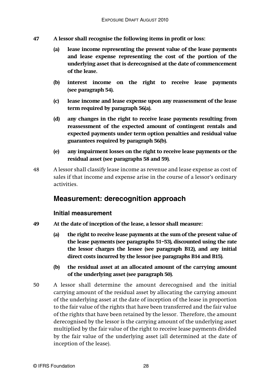- **47 A lessor shall recognise the following items in profit or loss:**
	- **(a) lease income representing the present value of the lease payments and lease expense representing the cost of the portion of the underlying asset that is derecognised at the date of commencement of the lease.**
	- **(b) interest income on the right to receive lease payments (see paragraph 54).**
	- **(c) lease income and lease expense upon any reassessment of the lease term required by paragraph 56(a).**
	- **(d) any changes in the right to receive lease payments resulting from reassessment of the expected amount of contingent rentals and expected payments under term option penalties and residual value guarantees required by paragraph 56(b).**
	- **(e) any impairment losses on the right to receive lease payments or the residual asset (see paragraphs 58 and 59).**
- 48 A lessor shall classify lease income as revenue and lease expense as cost of sales if that income and expense arise in the course of a lessor's ordinary activities.

# **Measurement: derecognition approach**

#### **Initial measurement**

- **49 At the date of inception of the lease, a lessor shall measure:**
	- **(a) the right to receive lease payments at the sum of the present value of the lease payments (see paragraphs 51–53), discounted using the rate the lessor charges the lessee (see paragraph B12), and any initial direct costs incurred by the lessor (see paragraphs B14 and B15).**
	- **(b) the residual asset at an allocated amount of the carrying amount of the underlying asset (see paragraph 50).**
- 50 A lessor shall determine the amount derecognised and the initial carrying amount of the residual asset by allocating the carrying amount of the underlying asset at the date of inception of the lease in proportion to the fair value of the rights that have been transferred and the fair value of the rights that have been retained by the lessor. Therefore, the amount derecognised by the lessor is the carrying amount of the underlying asset multiplied by the fair value of the right to receive lease payments divided by the fair value of the underlying asset (all determined at the date of inception of the lease).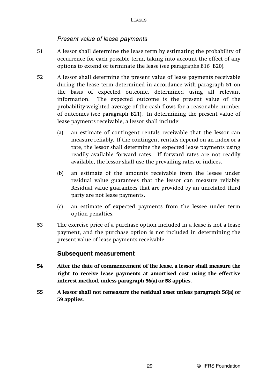#### Present value of lease payments

- 51 A lessor shall determine the lease term by estimating the probability of occurrence for each possible term, taking into account the effect of any options to extend or terminate the lease (see paragraphs B16–B20).
- 52 A lessor shall determine the present value of lease payments receivable during the lease term determined in accordance with paragraph 51 on the basis of expected outcome, determined using all relevant information. The expected outcome is the present value of the probability-weighted average of the cash flows for a reasonable number of outcomes (see paragraph B21). In determining the present value of lease payments receivable, a lessor shall include:
	- (a) an estimate of contingent rentals receivable that the lessor can measure reliably. If the contingent rentals depend on an index or a rate, the lessor shall determine the expected lease payments using readily available forward rates. If forward rates are not readily available, the lessor shall use the prevailing rates or indices.
	- (b) an estimate of the amounts receivable from the lessee under residual value guarantees that the lessor can measure reliably. Residual value guarantees that are provided by an unrelated third party are not lease payments.
	- (c) an estimate of expected payments from the lessee under term option penalties.
- 53 The exercise price of a purchase option included in a lease is not a lease payment, and the purchase option is not included in determining the present value of lease payments receivable.

#### **Subsequent measurement**

- **54 After the date of commencement of the lease, a lessor shall measure the right to receive lease payments at amortised cost using the effective interest method, unless paragraph 56(a) or 58 applies.**
- **55 A lessor shall not remeasure the residual asset unless paragraph 56(a) or 59 applies.**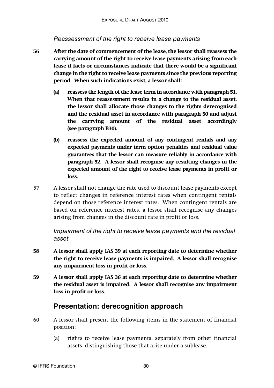#### Reassessment of the right to receive lease payments

- **56 After the date of commencement of the lease, the lessor shall reassess the carrying amount of the right to receive lease payments arising from each lease if facts or circumstances indicate that there would be a significant change in the right to receive lease payments since the previous reporting period. When such indications exist, a lessor shall:**
	- **(a) reassess the length of the lease term in accordance with paragraph 51. When that reassessment results in a change to the residual asset, the lessor shall allocate those changes to the rights derecognised and the residual asset in accordance with paragraph 50 and adjust the carrying amount of the residual asset accordingly (see paragraph B30).**
	- **(b) reassess the expected amount of any contingent rentals and any expected payments under term option penalties and residual value guarantees that the lessor can measure reliably in accordance with paragraph 52. A lessor shall recognise any resulting changes in the expected amount of the right to receive lease payments in profit or loss.**
- 57 A lessor shall not change the rate used to discount lease payments except to reflect changes in reference interest rates when contingent rentals depend on those reference interest rates. When contingent rentals are based on reference interest rates, a lessor shall recognise any changes arising from changes in the discount rate in profit or loss.

Impairment of the right to receive lease payments and the residual asset

- **58 A lessor shall apply IAS 39 at each reporting date to determine whether the right to receive lease payments is impaired. A lessor shall recognise any impairment loss in profit or loss.**
- **59 A lessor shall apply IAS 36 at each reporting date to determine whether the residual asset is impaired. A lessor shall recognise any impairment loss in profit or loss.**

# **Presentation: derecognition approach**

- 60 A lessor shall present the following items in the statement of financial position:
	- (a) rights to receive lease payments, separately from other financial assets, distinguishing those that arise under a sublease.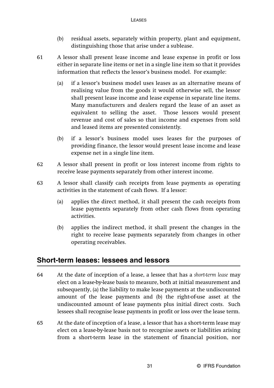- (b) residual assets, separately within property, plant and equipment, distinguishing those that arise under a sublease.
- 61 A lessor shall present lease income and lease expense in profit or loss either in separate line items or net in a single line item so that it provides information that reflects the lessor's business model. For example:
	- (a) if a lessor's business model uses leases as an alternative means of realising value from the goods it would otherwise sell, the lessor shall present lease income and lease expense in separate line items. Many manufacturers and dealers regard the lease of an asset as equivalent to selling the asset. Those lessors would present revenue and cost of sales so that income and expenses from sold and leased items are presented consistently.
	- (b) if a lessor's business model uses leases for the purposes of providing finance, the lessor would present lease income and lease expense net in a single line item.
- 62 A lessor shall present in profit or loss interest income from rights to receive lease payments separately from other interest income.
- 63 A lessor shall classify cash receipts from lease payments as operating activities in the statement of cash flows. If a lessor:
	- (a) applies the direct method, it shall present the cash receipts from lease payments separately from other cash flows from operating activities.
	- (b) applies the indirect method, it shall present the changes in the right to receive lease payments separately from changes in other operating receivables.

# **Short-term leases: lessees and lessors**

- 64 At the date of inception of a lease, a lessee that has a *short-term lease* may elect on a lease-by-lease basis to measure, both at initial measurement and subsequently, (a) the liability to make lease payments at the undiscounted amount of the lease payments and (b) the right-of-use asset at the undiscounted amount of lease payments plus initial direct costs. Such lessees shall recognise lease payments in profit or loss over the lease term.
- 65 At the date of inception of a lease, a lessor that has a short-term lease may elect on a lease-by-lease basis not to recognise assets or liabilities arising from a short-term lease in the statement of financial position, nor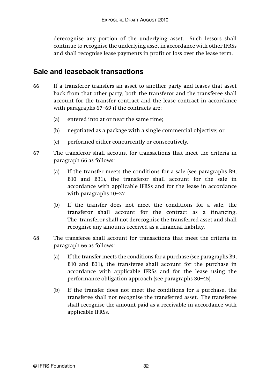derecognise any portion of the underlying asset. Such lessors shall continue to recognise the underlying asset in accordance with other IFRSs and shall recognise lease payments in profit or loss over the lease term.

### **Sale and leaseback transactions**

- 66 If a transferor transfers an asset to another party and leases that asset back from that other party, both the transferor and the transferee shall account for the transfer contract and the lease contract in accordance with paragraphs 67-69 if the contracts are:
	- (a) entered into at or near the same time;
	- (b) negotiated as a package with a single commercial objective; or
	- (c) performed either concurrently or consecutively.
- 67 The transferor shall account for transactions that meet the criteria in paragraph 66 as follows:
	- (a) If the transfer meets the conditions for a sale (see paragraphs B9, B10 and B31), the transferor shall account for the sale in accordance with applicable IFRSs and for the lease in accordance with paragraphs 10–27.
	- (b) If the transfer does not meet the conditions for a sale, the transferor shall account for the contract as a financing. The transferor shall not derecognise the transferred asset and shall recognise any amounts received as a financial liability.
- 68 The transferee shall account for transactions that meet the criteria in paragraph 66 as follows:
	- (a) If the transfer meets the conditions for a purchase (see paragraphs B9, B10 and B31), the transferee shall account for the purchase in accordance with applicable IFRSs and for the lease using the performance obligation approach (see paragraphs 30–45).
	- (b) If the transfer does not meet the conditions for a purchase, the transferee shall not recognise the transferred asset. The transferee shall recognise the amount paid as a receivable in accordance with applicable IFRSs.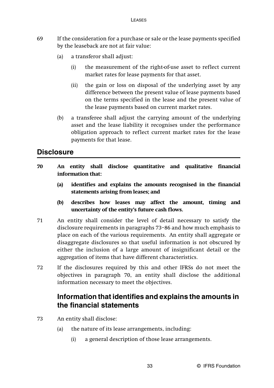- 69 If the consideration for a purchase or sale or the lease payments specified by the leaseback are not at fair value:
	- (a) a transferor shall adjust:
		- (i) the measurement of the right-of-use asset to reflect current market rates for lease payments for that asset.
		- (ii) the gain or loss on disposal of the underlying asset by any difference between the present value of lease payments based on the terms specified in the lease and the present value of the lease payments based on current market rates.
	- (b) a transferee shall adjust the carrying amount of the underlying asset and the lease liability it recognises under the performance obligation approach to reflect current market rates for the lease payments for that lease.

#### **Disclosure**

- **70 An entity shall disclose quantitative and qualitative financial information that:**
	- **(a) identifies and explains the amounts recognised in the financial statements arising from leases; and**
	- **(b) describes how leases may affect the amount, timing and uncertainty of the entity's future cash flows.**
- 71 An entity shall consider the level of detail necessary to satisfy the disclosure requirements in paragraphs 73–86 and how much emphasis to place on each of the various requirements. An entity shall aggregate or disaggregate disclosures so that useful information is not obscured by either the inclusion of a large amount of insignificant detail or the aggregation of items that have different characteristics.
- 72 If the disclosures required by this and other IFRSs do not meet the objectives in paragraph 70, an entity shall disclose the additional information necessary to meet the objectives.

# **Information that identifies and explains the amounts in the financial statements**

- 73 An entity shall disclose:
	- (a) the nature of its lease arrangements, including:
		- (i) a general description of those lease arrangements.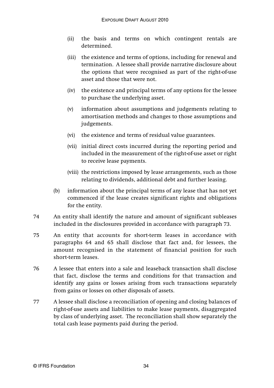- (ii) the basis and terms on which contingent rentals are determined.
- (iii) the existence and terms of options, including for renewal and termination. A lessee shall provide narrative disclosure about the options that were recognised as part of the right-of-use asset and those that were not.
- (iv) the existence and principal terms of any options for the lessee to purchase the underlying asset.
- (v) information about assumptions and judgements relating to amortisation methods and changes to those assumptions and judgements.
- (vi) the existence and terms of residual value guarantees.
- (vii) initial direct costs incurred during the reporting period and included in the measurement of the right-of-use asset or right to receive lease payments.
- (viii) the restrictions imposed by lease arrangements, such as those relating to dividends, additional debt and further leasing.
- (b) information about the principal terms of any lease that has not yet commenced if the lease creates significant rights and obligations for the entity.
- 74 An entity shall identify the nature and amount of significant subleases included in the disclosures provided in accordance with paragraph 73.
- 75 An entity that accounts for short-term leases in accordance with paragraphs 64 and 65 shall disclose that fact and, for lessees, the amount recognised in the statement of financial position for such short-term leases.
- 76 A lessee that enters into a sale and leaseback transaction shall disclose that fact, disclose the terms and conditions for that transaction and identify any gains or losses arising from such transactions separately from gains or losses on other disposals of assets.
- 77 A lessee shall disclose a reconciliation of opening and closing balances of right-of-use assets and liabilities to make lease payments, disaggregated by class of underlying asset. The reconciliation shall show separately the total cash lease payments paid during the period.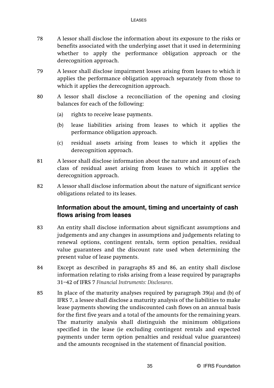- 78 A lessor shall disclose the information about its exposure to the risks or benefits associated with the underlying asset that it used in determining whether to apply the performance obligation approach or the derecognition approach.
- 79 A lessor shall disclose impairment losses arising from leases to which it applies the performance obligation approach separately from those to which it applies the derecognition approach.
- 80 A lessor shall disclose a reconciliation of the opening and closing balances for each of the following:
	- (a) rights to receive lease payments.
	- (b) lease liabilities arising from leases to which it applies the performance obligation approach.
	- (c) residual assets arising from leases to which it applies the derecognition approach.
- 81 A lessor shall disclose information about the nature and amount of each class of residual asset arising from leases to which it applies the derecognition approach.
- 82 A lessor shall disclose information about the nature of significant service obligations related to its leases.

#### **Information about the amount, timing and uncertainty of cash flows arising from leases**

- 83 An entity shall disclose information about significant assumptions and judgements and any changes in assumptions and judgements relating to renewal options, contingent rentals, term option penalties, residual value guarantees and the discount rate used when determining the present value of lease payments.
- 84 Except as described in paragraphs 85 and 86, an entity shall disclose information relating to risks arising from a lease required by paragraphs 31–42 of IFRS 7 *Financial Instruments: Disclosures*.
- 85 In place of the maturity analyses required by paragraph 39(a) and (b) of IFRS 7, a lessee shall disclose a maturity analysis of the liabilities to make lease payments showing the undiscounted cash flows on an annual basis for the first five years and a total of the amounts for the remaining years. The maturity analysis shall distinguish the minimum obligations specified in the lease (ie excluding contingent rentals and expected payments under term option penalties and residual value guarantees) and the amounts recognised in the statement of financial position.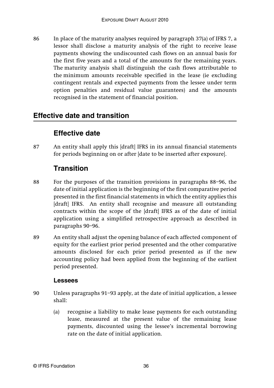86 In place of the maturity analyses required by paragraph 37(a) of IFRS 7, a lessor shall disclose a maturity analysis of the right to receive lease payments showing the undiscounted cash flows on an annual basis for the first five years and a total of the amounts for the remaining years. The maturity analysis shall distinguish the cash flows attributable to the minimum amounts receivable specified in the lease (ie excluding contingent rentals and expected payments from the lessee under term option penalties and residual value guarantees) and the amounts recognised in the statement of financial position.

# **Effective date and transition**

# **Effective date**

87 An entity shall apply this [draft] IFRS in its annual financial statements for periods beginning on or after [date to be inserted after exposure].

# **Transition**

- 88 For the purposes of the transition provisions in paragraphs 88–96, the date of initial application is the beginning of the first comparative period presented in the first financial statements in which the entity applies this [draft] IFRS. An entity shall recognise and measure all outstanding contracts within the scope of the [draft] IFRS as of the date of initial application using a simplified retrospective approach as described in paragraphs 90–96.
- 89 An entity shall adjust the opening balance of each affected component of equity for the earliest prior period presented and the other comparative amounts disclosed for each prior period presented as if the new accounting policy had been applied from the beginning of the earliest period presented.

#### **Lessees**

- 90 Unless paragraphs 91–93 apply, at the date of initial application, a lessee shall:
	- (a) recognise a liability to make lease payments for each outstanding lease, measured at the present value of the remaining lease payments, discounted using the lessee's incremental borrowing rate on the date of initial application.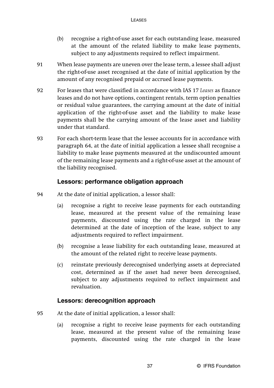- (b) recognise a right-of-use asset for each outstanding lease, measured at the amount of the related liability to make lease payments, subject to any adjustments required to reflect impairment.
- 91 When lease payments are uneven over the lease term, a lessee shall adjust the right-of-use asset recognised at the date of initial application by the amount of any recognised prepaid or accrued lease payments.
- 92 For leases that were classified in accordance with IAS 17 *Leases* as finance leases and do not have options, contingent rentals, term option penalties or residual value guarantees, the carrying amount at the date of initial application of the right-of-use asset and the liability to make lease payments shall be the carrying amount of the lease asset and liability under that standard.
- 93 For each short-term lease that the lessee accounts for in accordance with paragraph 64, at the date of initial application a lessee shall recognise a liability to make lease payments measured at the undiscounted amount of the remaining lease payments and a right-of-use asset at the amount of the liability recognised.

#### **Lessors: performance obligation approach**

- 94 At the date of initial application, a lessor shall:
	- (a) recognise a right to receive lease payments for each outstanding lease, measured at the present value of the remaining lease payments, discounted using the rate charged in the lease determined at the date of inception of the lease, subject to any adjustments required to reflect impairment.
	- (b) recognise a lease liability for each outstanding lease, measured at the amount of the related right to receive lease payments.
	- (c) reinstate previously derecognised underlying assets at depreciated cost, determined as if the asset had never been derecognised, subject to any adjustments required to reflect impairment and revaluation.

#### **Lessors: derecognition approach**

- 95 At the date of initial application, a lessor shall:
	- (a) recognise a right to receive lease payments for each outstanding lease, measured at the present value of the remaining lease payments, discounted using the rate charged in the lease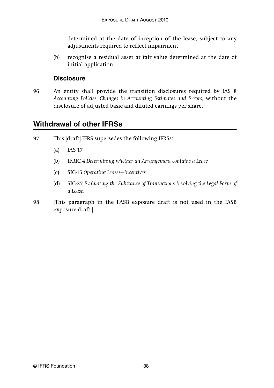determined at the date of inception of the lease, subject to any adjustments required to reflect impairment.

(b) recognise a residual asset at fair value determined at the date of initial application.

#### **Disclosure**

96 An entity shall provide the transition disclosures required by IAS 8 *Accounting Policies, Changes in Accounting Estimates and Errors*, without the disclosure of adjusted basic and diluted earnings per share.

# **Withdrawal of other IFRSs**

- 97 This [draft] IFRS supersedes the following IFRSs:
	- (a) IAS 17
	- (b) IFRIC 4 *Determining whether an Arrangement contains a Lease*
	- (c) SIC-15 *Operating Leases—Incentives*
	- (d) SIC-27 *Evaluating the Substance of Transactions Involving the Legal Form of a Lease*.
- 98 [This paragraph in the FASB exposure draft is not used in the IASB exposure draft.]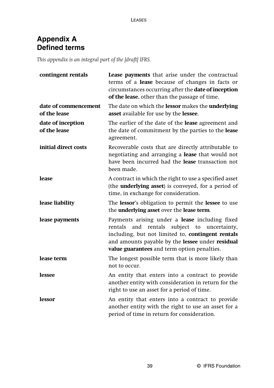# **Appendix A Defined terms**

*This appendix is an integral part of the [draft] IFRS.*

| contingent rentals                   | Lease payments that arise under the contractual<br>terms of a <b>lease</b> because of changes in facts or<br>circumstances occurring after the <b>date of inception</b><br>of the lease, other than the passage of time.                                           |
|--------------------------------------|--------------------------------------------------------------------------------------------------------------------------------------------------------------------------------------------------------------------------------------------------------------------|
| date of commencement<br>of the lease | The date on which the <b>lessor</b> makes the <b>underlying</b><br>asset available for use by the lessee.                                                                                                                                                          |
| date of inception<br>of the lease    | The earlier of the date of the <b>lease</b> agreement and<br>the date of commitment by the parties to the lease<br>agreement.                                                                                                                                      |
| initial direct costs                 | Recoverable costs that are directly attributable to<br>negotiating and arranging a lease that would not<br>have been incurred had the <b>lease</b> transaction not<br>been made.                                                                                   |
| lease                                | A contract in which the right to use a specified asset<br>(the <b>underlying asset</b> ) is conveyed, for a period of<br>time, in exchange for consideration.                                                                                                      |
| lease liability                      | The <b>lessor</b> 's obligation to permit the <b>lessee</b> to use<br>the <b>underlying</b> asset over the lease term.                                                                                                                                             |
| lease payments                       | Payments arising under a <b>lease</b> including fixed<br>rentals subject to uncertainty,<br>and<br>rentals<br>including, but not limited to, contingent rentals<br>and amounts payable by the lessee under residual<br>value guarantees and term option penalties. |
| lease term                           | The longest possible term that is more likely than<br>not to occur.                                                                                                                                                                                                |
| lessee                               | An entity that enters into a contract to provide<br>another entity with consideration in return for the<br>right to use an asset for a period of time.                                                                                                             |
| lessor                               | An entity that enters into a contract to provide<br>another entity with the right to use an asset for a<br>period of time in return for consideration.                                                                                                             |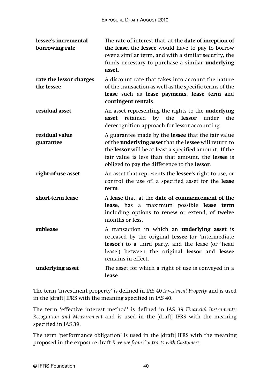| lessee's incremental                  | The rate of interest that, at the <b>date of inception of</b>                                                                                                                                                                                                                              |
|---------------------------------------|--------------------------------------------------------------------------------------------------------------------------------------------------------------------------------------------------------------------------------------------------------------------------------------------|
| borrowing rate                        | the lease, the lessee would have to pay to borrow<br>over a similar term, and with a similar security, the<br>funds necessary to purchase a similar underlying<br>asset.                                                                                                                   |
| rate the lessor charges<br>the lessee | A discount rate that takes into account the nature<br>of the transaction as well as the specific terms of the<br>lease such as lease payments, lease term and<br>contingent rentals.                                                                                                       |
| residual asset                        | An asset representing the rights to the <b>underlying</b><br>retained by the <b>lessor</b> under<br>asset<br>the<br>derecognition approach for lessor accounting.                                                                                                                          |
| residual value<br>guarantee           | A guarantee made by the lessee that the fair value<br>of the <b>underlying asset</b> that the <b>lessee</b> will return to<br>the lessor will be at least a specified amount. If the<br>fair value is less than that amount, the lessee is<br>obliged to pay the difference to the lessor. |
| right-of-use asset                    | An asset that represents the lessee's right to use, or<br>control the use of, a specified asset for the lease<br>term.                                                                                                                                                                     |
| short-term lease                      | A lease that, at the date of commencement of the<br>lease, has a maximum possible lease term<br>including options to renew or extend, of twelve<br>months or less.                                                                                                                         |
| sublease                              | A transaction in which an <b>underlying asset</b> is<br>re-leased by the original lessee (or 'intermediate<br>lessor') to a third party, and the lease (or 'head<br>lease') between the original lessor and lessee<br>remains in effect.                                                   |
| underlying asset                      | The asset for which a right of use is conveyed in a<br>lease.                                                                                                                                                                                                                              |

The term 'investment property' is defined in IAS 40 *Investment Property* and is used in the [draft] IFRS with the meaning specified in IAS 40.

The term 'effective interest method' is defined in IAS 39 *Financial Instruments: Recognition and Measurement* and is used in the [draft] IFRS with the meaning specified in IAS 39.

The term 'performance obligation' is used in the [draft] IFRS with the meaning proposed in the exposure draft *Revenue from Contracts with Customers.*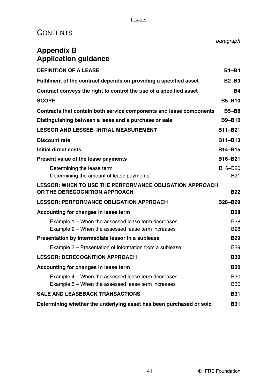# **CONTENTS**

|                                                                                                 | paragraph                        |
|-------------------------------------------------------------------------------------------------|----------------------------------|
| <b>Appendix B</b>                                                                               |                                  |
| <b>Application guidance</b>                                                                     |                                  |
| <b>DEFINITION OF A LEASE</b>                                                                    | <b>B1-B4</b>                     |
| Fulfilment of the contract depends on providing a specified asset                               | <b>B2-B3</b>                     |
| Contract conveys the right to control the use of a specified asset                              | Β4                               |
| <b>SCOPE</b>                                                                                    | <b>B5-B10</b>                    |
| Contracts that contain both service components and lease components                             | <b>B5-B8</b>                     |
| Distinguishing between a lease and a purchase or sale                                           | <b>B9-B10</b>                    |
| <b>LESSOR AND LESSEE: INITIAL MEASUREMENT</b>                                                   | B11-B21                          |
| Discount rate                                                                                   | B11-B13                          |
| Initial direct costs                                                                            | B14-B15                          |
| Present value of the lease payments                                                             | B16-B21                          |
| Determining the lease term                                                                      | B <sub>16</sub> -B <sub>20</sub> |
| Determining the amount of lease payments                                                        | B <sub>21</sub>                  |
| <b>LESSOR: WHEN TO USE THE PERFORMANCE OBLIGATION APPROACH</b><br>OR THE DERECOGNITION APPROACH | <b>B22</b>                       |
| <b>LESSOR: PERFORMANCE OBLIGATION APPROACH</b>                                                  | B28-B29                          |
| Accounting for changes in lease term                                                            | <b>B28</b>                       |
| Example 1 – When the assessed lease term decreases                                              | <b>B28</b>                       |
| Example 2 - When the assessed lease term increases                                              | <b>B28</b>                       |
| Presentation by intermediate lessor in a sublease                                               | <b>B29</b>                       |
| Example 3 – Presentation of information from a sublease                                         | <b>B29</b>                       |
| <b>LESSOR: DERECOGNITION APPROACH</b>                                                           | <b>B30</b>                       |
| Accounting for changes in lease term                                                            | <b>B30</b>                       |
| Example 4 – When the assessed lease term decreases                                              | <b>B30</b>                       |
| Example 5 – When the assessed lease term increases                                              | <b>B30</b>                       |
| <b>SALE AND LEASEBACK TRANSACTIONS</b>                                                          | B31                              |
| Determining whether the underlying asset has been purchased or sold                             | <b>B31</b>                       |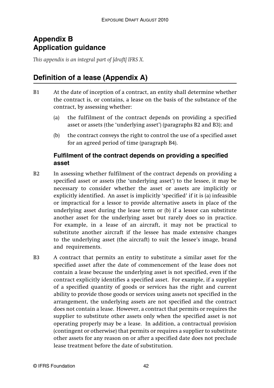# **Appendix B Application guidance**

*This appendix is an integral part of [draft] IFRS X.*

# **Definition of a lease (Appendix A)**

- B1 At the date of inception of a contract, an entity shall determine whether the contract is, or contains, a lease on the basis of the substance of the contract, by assessing whether:
	- (a) the fulfilment of the contract depends on providing a specified asset or assets (the 'underlying asset') (paragraphs B2 and B3); and
	- (b) the contract conveys the right to control the use of a specified asset for an agreed period of time (paragraph B4).

#### **Fulfilment of the contract depends on providing a specified asset**

- B2 In assessing whether fulfilment of the contract depends on providing a specified asset or assets (the 'underlying asset') to the lessee, it may be necessary to consider whether the asset or assets are implicitly or explicitly identified. An asset is implicitly 'specified' if it is (a) infeasible or impractical for a lessor to provide alternative assets in place of the underlying asset during the lease term or (b) if a lessor can substitute another asset for the underlying asset but rarely does so in practice. For example, in a lease of an aircraft, it may not be practical to substitute another aircraft if the lessee has made extensive changes to the underlying asset (the aircraft) to suit the lessee's image, brand and requirements.
- B3 A contract that permits an entity to substitute a similar asset for the specified asset after the date of commencement of the lease does not contain a lease because the underlying asset is not specified, even if the contract explicitly identifies a specified asset. For example, if a supplier of a specified quantity of goods or services has the right and current ability to provide those goods or services using assets not specified in the arrangement, the underlying assets are not specified and the contract does not contain a lease. However, a contract that permits or requires the supplier to substitute other assets only when the specified asset is not operating properly may be a lease. In addition, a contractual provision (contingent or otherwise) that permits or requires a supplier to substitute other assets for any reason on or after a specified date does not preclude lease treatment before the date of substitution.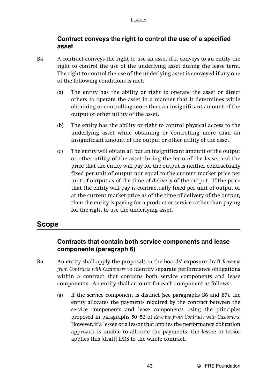#### **Contract conveys the right to control the use of a specified asset**

- B4 A contract conveys the right to use an asset if it conveys to an entity the right to control the use of the underlying asset during the lease term. The right to control the use of the underlying asset is conveyed if any one of the following conditions is met:
	- (a) The entity has the ability or right to operate the asset or direct others to operate the asset in a manner that it determines while obtaining or controlling more than an insignificant amount of the output or other utility of the asset.
	- (b) The entity has the ability or right to control physical access to the underlying asset while obtaining or controlling more than an insignificant amount of the output or other utility of the asset.
	- (c) The entity will obtain all but an insignificant amount of the output or other utility of the asset during the term of the lease, and the price that the entity will pay for the output is neither contractually fixed per unit of output nor equal to the current market price per unit of output as of the time of delivery of the output. If the price that the entity will pay is contractually fixed per unit of output or at the current market price as of the time of delivery of the output, then the entity is paying for a product or service rather than paying for the right to use the underlying asset.

# **Scope**

#### **Contracts that contain both service components and lease components (paragraph 6)**

- B5 An entity shall apply the proposals in the boards' exposure draft *Revenue from Contracts with Customers* to identify separate performance obligations within a contract that contains both service components and lease components. An entity shall account for each component as follows:
	- (a) If the service component is distinct (see paragraphs B6 and B7), the entity allocates the payments required by the contract between the service components and lease components using the principles proposed in paragraphs 50–52 of *Revenue from Contracts with Customers*. However, if a lessee or a lessor that applies the performance obligation approach is unable to allocate the payments, the lessee or lessor applies this [draft] IFRS to the whole contract.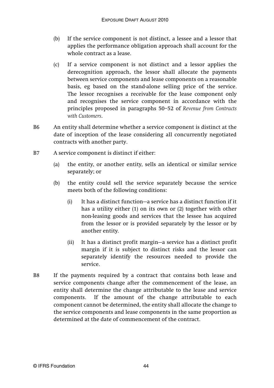- (b) If the service component is not distinct, a lessee and a lessor that applies the performance obligation approach shall account for the whole contract as a lease.
- (c) If a service component is not distinct and a lessor applies the derecognition approach, the lessor shall allocate the payments between service components and lease components on a reasonable basis, eg based on the stand-alone selling price of the service. The lessor recognises a receivable for the lease component only and recognises the service component in accordance with the principles proposed in paragraphs 50–52 of *Revenue from Contracts with Customers*.
- B6 An entity shall determine whether a service component is distinct at the date of inception of the lease considering all concurrently negotiated contracts with another party.
- B7 A service component is distinct if either:
	- (a) the entity, or another entity, sells an identical or similar service separately; or
	- (b) the entity could sell the service separately because the service meets both of the following conditions:
		- (i) It has a distinct function—a service has a distinct function if it has a utility either (1) on its own or (2) together with other non-leasing goods and services that the lessee has acquired from the lessor or is provided separately by the lessor or by another entity.
		- (ii) It has a distinct profit margin—a service has a distinct profit margin if it is subject to distinct risks and the lessor can separately identify the resources needed to provide the service.
- B8 If the payments required by a contract that contains both lease and service components change after the commencement of the lease, an entity shall determine the change attributable to the lease and service components. If the amount of the change attributable to each component cannot be determined, the entity shall allocate the change to the service components and lease components in the same proportion as determined at the date of commencement of the contract.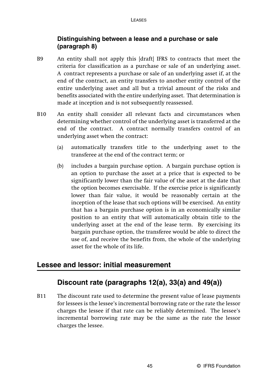#### **Distinguishing between a lease and a purchase or sale (paragraph 8)**

- B9 An entity shall not apply this [draft] IFRS to contracts that meet the criteria for classification as a purchase or sale of an underlying asset. A contract represents a purchase or sale of an underlying asset if, at the end of the contract, an entity transfers to another entity control of the entire underlying asset and all but a trivial amount of the risks and benefits associated with the entire underlying asset. That determination is made at inception and is not subsequently reassessed.
- B10 An entity shall consider all relevant facts and circumstances when determining whether control of the underlying asset is transferred at the end of the contract. A contract normally transfers control of an underlying asset when the contract:
	- (a) automatically transfers title to the underlying asset to the transferee at the end of the contract term; or
	- (b) includes a bargain purchase option. A bargain purchase option is an option to purchase the asset at a price that is expected to be significantly lower than the fair value of the asset at the date that the option becomes exercisable. If the exercise price is significantly lower than fair value, it would be reasonably certain at the inception of the lease that such options will be exercised. An entity that has a bargain purchase option is in an economically similar position to an entity that will automatically obtain title to the underlying asset at the end of the lease term. By exercising its bargain purchase option, the transferee would be able to direct the use of, and receive the benefits from, the whole of the underlying asset for the whole of its life.

### **Lessee and lessor: initial measurement**

# **Discount rate (paragraphs 12(a), 33(a) and 49(a))**

B11 The discount rate used to determine the present value of lease payments for lessees is the lessee's incremental borrowing rate or the rate the lessor charges the lessee if that rate can be reliably determined. The lessee's incremental borrowing rate may be the same as the rate the lessor charges the lessee.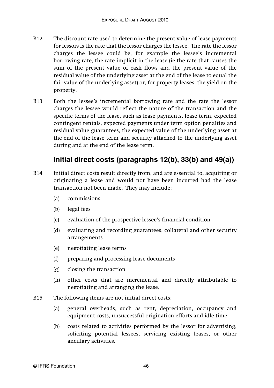- B12 The discount rate used to determine the present value of lease payments for lessors is the rate that the lessor charges the lessee. The rate the lessor charges the lessee could be, for example the lessee's incremental borrowing rate, the rate implicit in the lease (ie the rate that causes the sum of the present value of cash flows and the present value of the residual value of the underlying asset at the end of the lease to equal the fair value of the underlying asset) or, for property leases, the yield on the property.
- B13 Both the lessee's incremental borrowing rate and the rate the lessor charges the lessee would reflect the nature of the transaction and the specific terms of the lease, such as lease payments, lease term, expected contingent rentals, expected payments under term option penalties and residual value guarantees, the expected value of the underlying asset at the end of the lease term and security attached to the underlying asset during and at the end of the lease term.

# **Initial direct costs (paragraphs 12(b), 33(b) and 49(a))**

- B14 Initial direct costs result directly from, and are essential to, acquiring or originating a lease and would not have been incurred had the lease transaction not been made. They may include:
	- (a) commissions
	- (b) legal fees
	- (c) evaluation of the prospective lessee's financial condition
	- (d) evaluating and recording guarantees, collateral and other security arrangements
	- (e) negotiating lease terms
	- (f) preparing and processing lease documents
	- (g) closing the transaction
	- (h) other costs that are incremental and directly attributable to negotiating and arranging the lease.
- B15 The following items are not initial direct costs:
	- (a) general overheads, such as rent, depreciation, occupancy and equipment costs, unsuccessful origination efforts and idle time
	- (b) costs related to activities performed by the lessor for advertising, soliciting potential lessees, servicing existing leases, or other ancillary activities.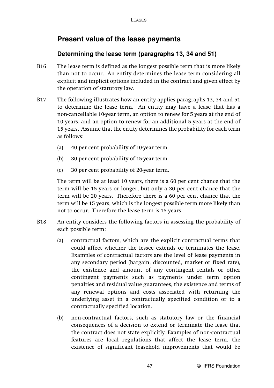# **Present value of the lease payments**

#### **Determining the lease term (paragraphs 13, 34 and 51)**

- B16 The lease term is defined as the longest possible term that is more likely than not to occur. An entity determines the lease term considering all explicit and implicit options included in the contract and given effect by the operation of statutory law.
- B17 The following illustrates how an entity applies paragraphs 13, 34 and 51 to determine the lease term. An entity may have a lease that has a non-cancellable 10-year term, an option to renew for 5 years at the end of 10 years, and an option to renew for an additional 5 years at the end of 15 years. Assume that the entity determines the probability for each term as follows:
	- (a) 40 per cent probability of 10-year term
	- (b) 30 per cent probability of 15-year term
	- (c) 30 per cent probability of 20-year term.

The term will be at least 10 years, there is a 60 per cent chance that the term will be 15 years or longer, but only a 30 per cent chance that the term will be 20 years. Therefore there is a 60 per cent chance that the term will be 15 years, which is the longest possible term more likely than not to occur. Therefore the lease term is 15 years.

- B18 An entity considers the following factors in assessing the probability of each possible term:
	- (a) contractual factors, which are the explicit contractual terms that could affect whether the lessee extends or terminates the lease. Examples of contractual factors are the level of lease payments in any secondary period (bargain, discounted, market or fixed rate), the existence and amount of any contingent rentals or other contingent payments such as payments under term option penalties and residual value guarantees, the existence and terms of any renewal options and costs associated with returning the underlying asset in a contractually specified condition or to a contractually specified location.
	- (b) non-contractual factors, such as statutory law or the financial consequences of a decision to extend or terminate the lease that the contract does not state explicitly. Examples of non-contractual features are local regulations that affect the lease term, the existence of significant leasehold improvements that would be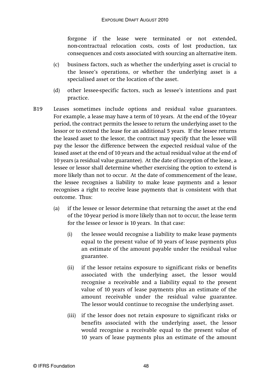forgone if the lease were terminated or not extended, non-contractual relocation costs, costs of lost production, tax consequences and costs associated with sourcing an alternative item.

- (c) business factors, such as whether the underlying asset is crucial to the lessee's operations, or whether the underlying asset is a specialised asset or the location of the asset.
- (d) other lessee-specific factors, such as lessee's intentions and past practice.
- B19 Leases sometimes include options and residual value guarantees. For example, a lease may have a term of 10 years. At the end of the 10-year period, the contract permits the lessee to return the underlying asset to the lessor or to extend the lease for an additional 5 years. If the lessee returns the leased asset to the lessor, the contract may specify that the lessee will pay the lessor the difference between the expected residual value of the leased asset at the end of 10 years and the actual residual value at the end of 10 years (a residual value guarantee). At the date of inception of the lease, a lessee or lessor shall determine whether exercising the option to extend is more likely than not to occur. At the date of commencement of the lease, the lessee recognises a liability to make lease payments and a lessor recognises a right to receive lease payments that is consistent with that outcome. Thus:
	- (a) if the lessee or lessor determine that returning the asset at the end of the 10-year period is more likely than not to occur, the lease term for the lessee or lessor is 10 years. In that case:
		- (i) the lessee would recognise a liability to make lease payments equal to the present value of 10 years of lease payments plus an estimate of the amount payable under the residual value guarantee.
		- (ii) if the lessor retains exposure to significant risks or benefits associated with the underlying asset, the lessor would recognise a receivable and a liability equal to the present value of 10 years of lease payments plus an estimate of the amount receivable under the residual value guarantee. The lessor would continue to recognise the underlying asset.
		- (iii) if the lessor does not retain exposure to significant risks or benefits associated with the underlying asset, the lessor would recognise a receivable equal to the present value of 10 years of lease payments plus an estimate of the amount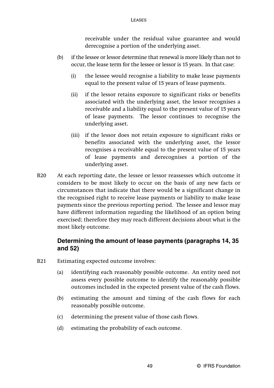receivable under the residual value guarantee and would derecognise a portion of the underlying asset.

- (b) if the lessee or lessor determine that renewal is more likely than not to occur, the lease term for the lessee or lessor is 15 years. In that case:
	- (i) the lessee would recognise a liability to make lease payments equal to the present value of 15 years of lease payments.
	- (ii) if the lessor retains exposure to significant risks or benefits associated with the underlying asset, the lessor recognises a receivable and a liability equal to the present value of 15 years of lease payments. The lessor continues to recognise the underlying asset.
	- (iii) if the lessor does not retain exposure to significant risks or benefits associated with the underlying asset, the lessor recognises a receivable equal to the present value of 15 years of lease payments and derecognises a portion of the underlying asset.
- B20 At each reporting date, the lessee or lessor reassesses which outcome it considers to be most likely to occur on the basis of any new facts or circumstances that indicate that there would be a significant change in the recognised right to receive lease payments or liability to make lease payments since the previous reporting period. The lessee and lessor may have different information regarding the likelihood of an option being exercised; therefore they may reach different decisions about what is the most likely outcome.

#### **Determining the amount of lease payments (paragraphs 14, 35 and 52)**

- B21 Estimating expected outcome involves:
	- (a) identifying each reasonably possible outcome. An entity need not assess every possible outcome to identify the reasonably possible outcomes included in the expected present value of the cash flows.
	- (b) estimating the amount and timing of the cash flows for each reasonably possible outcome.
	- (c) determining the present value of those cash flows.
	- (d) estimating the probability of each outcome.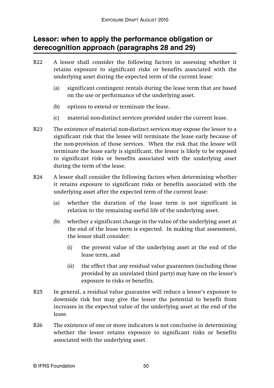# **Lessor: when to apply the performance obligation or derecognition approach (paragraphs 28 and 29)**

- B22 A lessor shall consider the following factors in assessing whether it retains exposure to significant risks or benefits associated with the underlying asset during the expected term of the current lease:
	- (a) significant contingent rentals during the lease term that are based on the use or performance of the underlying asset.
	- (b) options to extend or terminate the lease.
	- (c) material non-distinct services provided under the current lease.
- B23 The existence of material non-distinct services may expose the lessor to a significant risk that the lessee will terminate the lease early because of the non-provision of those services. When the risk that the lessee will terminate the lease early is significant, the lessor is likely to be exposed to significant risks or benefits associated with the underlying asset during the term of the lease.
- B24 A lessor shall consider the following factors when determining whether it retains exposure to significant risks or benefits associated with the underlying asset after the expected term of the current lease:
	- (a) whether the duration of the lease term is not significant in relation to the remaining useful life of the underlying asset.
	- (b) whether a significant change in the value of the underlying asset at the end of the lease term is expected. In making that assessment, the lessor shall consider:
		- (i) the present value of the underlying asset at the end of the lease term, and
		- (ii) the effect that any residual value guarantees (including those provided by an unrelated third party) may have on the lessor's exposure to risks or benefits.
- B25 In general, a residual value guarantee will reduce a lessor's exposure to downside risk but may give the lessor the potential to benefit from increases in the expected value of the underlying asset at the end of the lease.
- B26 The existence of one or more indicators is not conclusive in determining whether the lessor retains exposure to significant risks or benefits associated with the underlying asset.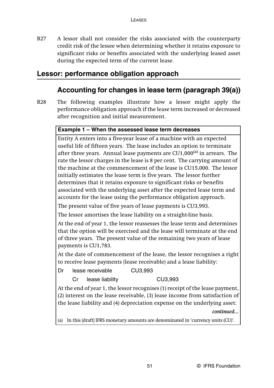B27 A lessor shall not consider the risks associated with the counterparty credit risk of the lessee when determining whether it retains exposure to significant risks or benefits associated with the underlying leased asset during the expected term of the current lease.

#### **Lessor: performance obligation approach**

### **Accounting for changes in lease term (paragraph 39(a))**

B28 The following examples illustrate how a lessor might apply the performance obligation approach if the lease term increased or decreased after recognition and initial measurement.

#### **Example 1 – When the assessed lease term decreases**

Entity A enters into a five-year lease of a machine with an expected useful life of fifteen years. The lease includes an option to terminate after three years. Annual lease payments are  $CU1,000^{(a)}$  in arrears. The rate the lessor charges in the lease is 8 per cent. The carrying amount of the machine at the commencement of the lease is CU15,000. The lessor initially estimates the lease term is five years. The lessor further determines that it retains exposure to significant risks or benefits associated with the underlying asset after the expected lease term and accounts for the lease using the performance obligation approach.

The present value of five years of lease payments is CU3,993.

The lessor amortises the lease liability on a straight-line basis.

At the end of year 1, the lessor reassesses the lease term and determines that the option will be exercised and the lease will terminate at the end of three years. The present value of the remaining two years of lease payments is CU1,783.

At the date of commencement of the lease, the lessor recognises a right to receive lease payments (lease receivable) and a lease liability:

Dr lease receivable CU3,993

Cr lease liability CU3,993

At the end of year 1, the lessor recognises (1) receipt of the lease payment, (2) interest on the lease receivable, (3) lease income from satisfaction of the lease liability and (4) depreciation expense on the underlying asset:

*continued...*

(a) In this [draft] IFRS monetary amounts are denominated in 'currency units (CU)'.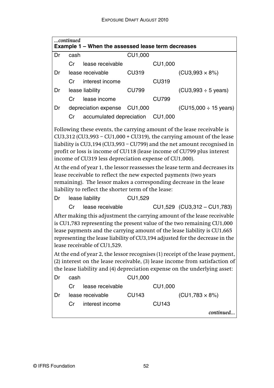|                                                                                                                                                                                                                                                                                                                                                                                                                                 | continued | Example 1 - When the assessed lease term decreases                                                                                                                                |              |              |                                                                                                                                                                                                                                                                                                                                                                                    |
|---------------------------------------------------------------------------------------------------------------------------------------------------------------------------------------------------------------------------------------------------------------------------------------------------------------------------------------------------------------------------------------------------------------------------------|-----------|-----------------------------------------------------------------------------------------------------------------------------------------------------------------------------------|--------------|--------------|------------------------------------------------------------------------------------------------------------------------------------------------------------------------------------------------------------------------------------------------------------------------------------------------------------------------------------------------------------------------------------|
| Dr                                                                                                                                                                                                                                                                                                                                                                                                                              | cash      |                                                                                                                                                                                   | CU1,000      |              |                                                                                                                                                                                                                                                                                                                                                                                    |
|                                                                                                                                                                                                                                                                                                                                                                                                                                 | Cr        | lease receivable                                                                                                                                                                  |              | CU1,000      |                                                                                                                                                                                                                                                                                                                                                                                    |
| Dr                                                                                                                                                                                                                                                                                                                                                                                                                              |           | lease receivable                                                                                                                                                                  | <b>CU319</b> |              | $(CU3,993 \times 8\%)$                                                                                                                                                                                                                                                                                                                                                             |
|                                                                                                                                                                                                                                                                                                                                                                                                                                 | Cr        | interest income                                                                                                                                                                   |              | <b>CU319</b> |                                                                                                                                                                                                                                                                                                                                                                                    |
| Dr                                                                                                                                                                                                                                                                                                                                                                                                                              |           | lease liability                                                                                                                                                                   | <b>CU799</b> |              | $(CU3,993 \div 5$ years)                                                                                                                                                                                                                                                                                                                                                           |
|                                                                                                                                                                                                                                                                                                                                                                                                                                 | Cr        | lease income                                                                                                                                                                      |              | <b>CU799</b> |                                                                                                                                                                                                                                                                                                                                                                                    |
| Dr                                                                                                                                                                                                                                                                                                                                                                                                                              |           | depreciation expense                                                                                                                                                              | CU1,000      |              | (CU15,000 ÷ 15 years)                                                                                                                                                                                                                                                                                                                                                              |
|                                                                                                                                                                                                                                                                                                                                                                                                                                 | Cr        | accumulated depreciation                                                                                                                                                          |              | CU1,000      |                                                                                                                                                                                                                                                                                                                                                                                    |
|                                                                                                                                                                                                                                                                                                                                                                                                                                 |           | income of CU319 less depreciation expense of CU1,000).<br>lease receivable to reflect the new expected payments (two years<br>liability to reflect the shorter term of the lease: |              |              | $CU3,312$ (CU3,993 - CU1,000 + CU319), the carrying amount of the lease<br>liability is CU3,194 (CU3,993 - CU799) and the net amount recognised in<br>profit or loss is income of CU118 (lease income of CU799 plus interest<br>At the end of year 1, the lessor reassesses the lease term and decreases its<br>remaining). The lessor makes a corresponding decrease in the lease |
| Dr                                                                                                                                                                                                                                                                                                                                                                                                                              | Cr        | lease liability<br>lease receivable                                                                                                                                               | CU1,529      |              | CU1,529 (CU3,312 - CU1,783)                                                                                                                                                                                                                                                                                                                                                        |
| After making this adjustment the carrying amount of the lease receivable<br>is CU1,783 representing the present value of the two remaining CU1,000<br>lease payments and the carrying amount of the lease liability is CU1,665<br>representing the lease liability of CU3,194 adjusted for the decrease in the<br>lease receivable of CU1,529.<br>At the end of year 2, the lessor recognises (1) receipt of the lease payment, |           |                                                                                                                                                                                   |              |              |                                                                                                                                                                                                                                                                                                                                                                                    |
|                                                                                                                                                                                                                                                                                                                                                                                                                                 |           |                                                                                                                                                                                   |              |              | (2) interest on the lease receivable, (3) lease income from satisfaction of<br>the lease liability and (4) depreciation expense on the underlying asset:                                                                                                                                                                                                                           |
| Dr                                                                                                                                                                                                                                                                                                                                                                                                                              | cash      |                                                                                                                                                                                   | CU1,000      |              |                                                                                                                                                                                                                                                                                                                                                                                    |
|                                                                                                                                                                                                                                                                                                                                                                                                                                 | Cr        | lease receivable                                                                                                                                                                  |              | CU1,000      |                                                                                                                                                                                                                                                                                                                                                                                    |
| Dr                                                                                                                                                                                                                                                                                                                                                                                                                              |           | lease receivable                                                                                                                                                                  | CU143        |              | $(CU1, 783 \times 8\%)$                                                                                                                                                                                                                                                                                                                                                            |
|                                                                                                                                                                                                                                                                                                                                                                                                                                 | Cr        | interest income                                                                                                                                                                   |              | <b>CU143</b> |                                                                                                                                                                                                                                                                                                                                                                                    |
|                                                                                                                                                                                                                                                                                                                                                                                                                                 |           |                                                                                                                                                                                   |              |              | continued                                                                                                                                                                                                                                                                                                                                                                          |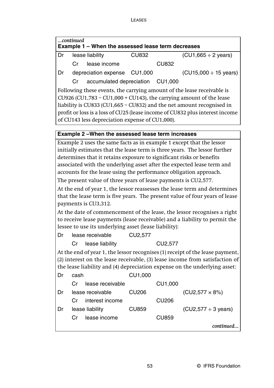|    | …continued<br>Example 1 - When the assessed lease term decreases |                                                                |                   |         |                                                                               |
|----|------------------------------------------------------------------|----------------------------------------------------------------|-------------------|---------|-------------------------------------------------------------------------------|
| Dr | lease liability                                                  |                                                                | CU832             |         | $(CU1, 665 \div 2 \text{ years})$                                             |
|    | Cr                                                               | lease income                                                   |                   | CU832   |                                                                               |
| Dr |                                                                  | depreciation expense                                           | CU1,000           |         | $(CU15,000 \div 15 \text{ years})$                                            |
|    | Cr                                                               | accumulated depreciation                                       |                   | CU1,000 |                                                                               |
|    |                                                                  |                                                                |                   |         | Following these events, the carrying amount of the lease receivable is        |
|    |                                                                  |                                                                |                   |         | CU926 (CU1,783 - CU1,000 + CU143), the carrying amount of the lease           |
|    |                                                                  |                                                                |                   |         | liability is CU833 (CU1,665 - CU832) and the net amount recognised in         |
|    |                                                                  |                                                                |                   |         | profit or loss is a loss of CU25 (lease income of CU832 plus interest income  |
|    |                                                                  | of CU143 less depreciation expense of CU1,000).                |                   |         |                                                                               |
|    |                                                                  | Example 2 - When the assessed lease term increases             |                   |         |                                                                               |
|    |                                                                  |                                                                |                   |         | Example 2 uses the same facts as in example 1 except that the lessor          |
|    |                                                                  |                                                                |                   |         | initially estimates that the lease term is three years. The lessor further    |
|    |                                                                  |                                                                |                   |         | determines that it retains exposure to significant risks or benefits          |
|    |                                                                  |                                                                |                   |         | associated with the underlying asset after the expected lease term and        |
|    |                                                                  |                                                                |                   |         | accounts for the lease using the performance obligation approach.             |
|    |                                                                  | The present value of three years of lease payments is CU2,577. |                   |         |                                                                               |
|    |                                                                  |                                                                |                   |         | At the end of year 1, the lessor reassesses the lease term and determines     |
|    |                                                                  |                                                                |                   |         | that the lease term is five years. The present value of four years of lease   |
|    | payments is CU3,312.                                             |                                                                |                   |         |                                                                               |
|    |                                                                  |                                                                |                   |         | At the date of commencement of the lease, the lessor recognises a right       |
|    |                                                                  |                                                                |                   |         | to receive lease payments (lease receivable) and a liability to permit the    |
|    |                                                                  | lessee to use its underlying asset (lease liability):          |                   |         |                                                                               |
| Dr | lease receivable                                                 |                                                                | CU2,577           |         |                                                                               |
|    | Cr                                                               | lease liability                                                |                   | CU2,577 |                                                                               |
|    |                                                                  |                                                                |                   |         | At the end of year 1, the lessor recognises (1) receipt of the lease payment, |
|    |                                                                  |                                                                |                   |         | (2) interest on the lease receivable, (3) lease income from satisfaction of   |
|    |                                                                  |                                                                |                   |         | the lease liability and (4) depreciation expense on the underlying asset:     |
| Dr | cash                                                             |                                                                | CU1,000           |         |                                                                               |
|    | Cr                                                               | lease receivable                                               |                   | CU1,000 |                                                                               |
| Dr | lease receivable                                                 |                                                                | CU <sub>206</sub> |         | $(CU2, 577 \times 8\%)$                                                       |
|    | Cr                                                               | interest income                                                |                   | CU206   |                                                                               |
| Dr | lease liability                                                  |                                                                | CU859             |         | $(CU2, 577 \div 3 \text{ years})$                                             |
|    | Cr                                                               | lease income                                                   |                   | CU859   |                                                                               |
|    |                                                                  |                                                                |                   |         | continued                                                                     |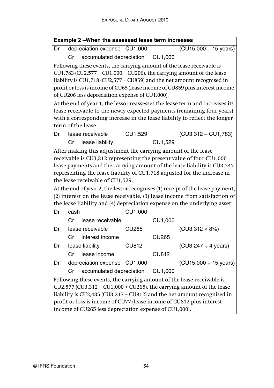| Example 2-When the assessed lease term increases       |                                                                                                                                 |              |              |                                                                               |  |  |
|--------------------------------------------------------|---------------------------------------------------------------------------------------------------------------------------------|--------------|--------------|-------------------------------------------------------------------------------|--|--|
| Dr                                                     | depreciation expense CU1,000                                                                                                    |              |              | $(CU15,000 \div 15 \text{ years})$                                            |  |  |
|                                                        | Cr<br>accumulated depreciation                                                                                                  |              | CU1,000      |                                                                               |  |  |
|                                                        | Following these events, the carrying amount of the lease receivable is                                                          |              |              |                                                                               |  |  |
|                                                        | $CU1,783$ ( $CU2,577$ – $CU1,000$ + $CU206$ ), the carrying amount of the lease                                                 |              |              |                                                                               |  |  |
|                                                        | liability is CU1,718 (CU2,577 - CU859) and the net amount recognised in                                                         |              |              |                                                                               |  |  |
|                                                        | profit or loss is income of CU65 (lease income of CU859 plus interest income<br>of CU206 less depreciation expense of CU1,000). |              |              |                                                                               |  |  |
|                                                        | At the end of year 1, the lessor reassesses the lease term and increases its                                                    |              |              |                                                                               |  |  |
|                                                        | lease receivable to the newly expected payments (remaining four years)                                                          |              |              |                                                                               |  |  |
|                                                        | with a corresponding increase in the lease liability to reflect the longer                                                      |              |              |                                                                               |  |  |
|                                                        | term of the lease:                                                                                                              |              |              |                                                                               |  |  |
| Dr                                                     | lease receivable                                                                                                                | CU1,529      |              | $(CU3, 312 - CU1, 783)$                                                       |  |  |
|                                                        | Cr lease liability                                                                                                              |              | CU1,529      |                                                                               |  |  |
|                                                        | After making this adjustment the carrying amount of the lease                                                                   |              |              |                                                                               |  |  |
|                                                        | receivable is CU3,312 representing the present value of four CU1,000                                                            |              |              |                                                                               |  |  |
|                                                        | lease payments and the carrying amount of the lease liability is CU3,247                                                        |              |              |                                                                               |  |  |
|                                                        | representing the lease liability of CU1,718 adjusted for the increase in                                                        |              |              |                                                                               |  |  |
|                                                        | the lease receivable of CU1,529.                                                                                                |              |              |                                                                               |  |  |
|                                                        |                                                                                                                                 |              |              | At the end of year 2, the lessor recognises (1) receipt of the lease payment, |  |  |
|                                                        | the lease liability and (4) depreciation expense on the underlying asset:                                                       |              |              | (2) interest on the lease receivable, (3) lease income from satisfaction of   |  |  |
| Dr                                                     | cash                                                                                                                            | CU1,000      |              |                                                                               |  |  |
|                                                        |                                                                                                                                 |              |              |                                                                               |  |  |
|                                                        | Cr<br>lease receivable                                                                                                          |              | CU1,000      |                                                                               |  |  |
| Dr                                                     | lease receivable                                                                                                                | <b>CU265</b> |              | $(CU3, 312 \times 8\%)$                                                       |  |  |
|                                                        | interest income<br>Cr                                                                                                           |              | <b>CU265</b> |                                                                               |  |  |
| Dr                                                     | lease liability                                                                                                                 | CU812        |              | $(CU3, 247 \div 4 \text{ years})$                                             |  |  |
|                                                        | lease income<br>Cr                                                                                                              |              | CU812        |                                                                               |  |  |
| Dr                                                     | depreciation expense                                                                                                            | CU1.000      |              | $(CU15,000 \div 15 \text{ years})$                                            |  |  |
|                                                        | accumulated depreciation<br>CU1,000<br>Cr                                                                                       |              |              |                                                                               |  |  |
|                                                        | Following these events, the carrying amount of the lease receivable is                                                          |              |              |                                                                               |  |  |
|                                                        | CU2,577 (CU3,312 - CU1,000 + CU265), the carrying amount of the lease                                                           |              |              |                                                                               |  |  |
|                                                        | liability is CU2,435 (CU3,247 - CU812) and the net amount recognised in                                                         |              |              |                                                                               |  |  |
|                                                        | profit or loss is income of CU77 (lease income of CU812 plus interest                                                           |              |              |                                                                               |  |  |
| income of CU265 less depreciation expense of CU1,000). |                                                                                                                                 |              |              |                                                                               |  |  |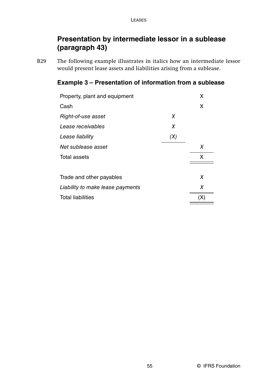# **Presentation by intermediate lessor in a sublease (paragraph 43)**

B29 The following example illustrates in italics how an intermediate lessor would present lease assets and liabilities arising from a sublease.

#### **Example 3 – Presentation of information from a sublease**

| Property, plant and equipment    |     | х |
|----------------------------------|-----|---|
| Cash                             |     | х |
| Right-of-use asset               | x   |   |
| Lease receivables                | x   |   |
| Lease liability                  | (X) |   |
| Net sublease asset               |     | x |
| Total assets                     |     | x |
| Trade and other payables         |     | x |
| Liability to make lease payments |     | x |
| <b>Total liabilities</b>         |     |   |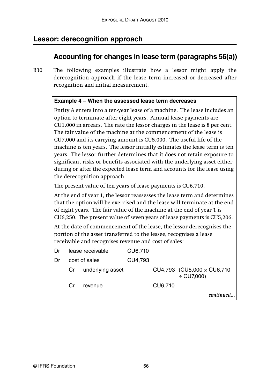# **Lessor: derecognition approach**

# **Accounting for changes in lease term (paragraphs 56(a))**

B30 The following examples illustrate how a lessor might apply the derecognition approach if the lease term increased or decreased after recognition and initial measurement.

#### **Example 4 – When the assessed lease term decreases**

Entity A enters into a ten-year lease of a machine. The lease includes an option to terminate after eight years. Annual lease payments are CU1,000 in arrears. The rate the lessor charges in the lease is 8 per cent. The fair value of the machine at the commencement of the lease is CU7,000 and its carrying amount is CU5,000. The useful life of the machine is ten years. The lessor initially estimates the lease term is ten years. The lessor further determines that it does not retain exposure to significant risks or benefits associated with the underlying asset either during or after the expected lease term and accounts for the lease using the derecognition approach.

The present value of ten years of lease payments is CU6,710.

At the end of year 1, the lessor reassesses the lease term and determines that the option will be exercised and the lease will terminate at the end of eight years. The fair value of the machine at the end of year 1 is CU6,250. The present value of seven years of lease payments is CU5,206.

At the date of commencement of the lease, the lessor derecognises the portion of the asset transferred to the lessee, recognises a lease receivable and recognises revenue and cost of sales:

| . Dr |    | lease receivable | CU6,710 |         |                                                        |           |
|------|----|------------------|---------|---------|--------------------------------------------------------|-----------|
| . Dr |    | cost of sales    | CU4,793 |         |                                                        |           |
|      | Cr | underlying asset |         |         | $CU4,793$ (CU5,000 $\times$ CU6,710<br>$\div$ CU7,000) |           |
|      | Cr | revenue          |         | CU6,710 |                                                        |           |
|      |    |                  |         |         |                                                        | continued |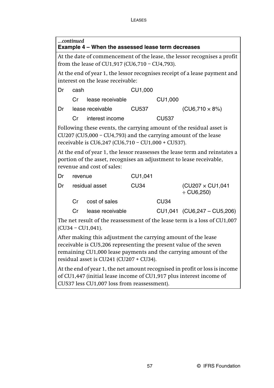|                                                                                                                                                                                                                                                  | continued | Example 4 - When the assessed lease term decreases                                                                   |                  |              |                                                                                                                                                    |
|--------------------------------------------------------------------------------------------------------------------------------------------------------------------------------------------------------------------------------------------------|-----------|----------------------------------------------------------------------------------------------------------------------|------------------|--------------|----------------------------------------------------------------------------------------------------------------------------------------------------|
|                                                                                                                                                                                                                                                  |           | from the lease of CU1,917 (CU6,710 - CU4,793).                                                                       |                  |              | At the date of commencement of the lease, the lessor recognises a profit                                                                           |
|                                                                                                                                                                                                                                                  |           | interest on the lease receivable:                                                                                    |                  |              | At the end of year 1, the lessor recognises receipt of a lease payment and                                                                         |
| Dr                                                                                                                                                                                                                                               | cash      |                                                                                                                      | CU1,000          |              |                                                                                                                                                    |
|                                                                                                                                                                                                                                                  | Cr.       | lease receivable                                                                                                     |                  | CU1,000      |                                                                                                                                                    |
| Dr                                                                                                                                                                                                                                               |           | lease receivable                                                                                                     | <b>CU537</b>     |              | $(CU6, 710 \times 8\%)$                                                                                                                            |
|                                                                                                                                                                                                                                                  | Cr        | interest income                                                                                                      |                  | <b>CU537</b> |                                                                                                                                                    |
|                                                                                                                                                                                                                                                  |           | CU207 (CU5,000 - CU4,793) and the carrying amount of the lease<br>receivable is CU6,247 (CU6,710 - CU1,000 + CU537). |                  |              | Following these events, the carrying amount of the residual asset is                                                                               |
|                                                                                                                                                                                                                                                  |           | portion of the asset, recognises an adjustment to lease receivable,<br>revenue and cost of sales:                    |                  |              | At the end of year 1, the lessor reassesses the lease term and reinstates a                                                                        |
| Dr                                                                                                                                                                                                                                               | revenue   |                                                                                                                      | CU1,041          |              |                                                                                                                                                    |
| Dr                                                                                                                                                                                                                                               |           | residual asset                                                                                                       | CU <sub>34</sub> |              | $(CU207 \times CU1,041)$<br>$\div$ CU6,250)                                                                                                        |
|                                                                                                                                                                                                                                                  | Cr        | cost of sales                                                                                                        |                  | <b>CU34</b>  |                                                                                                                                                    |
|                                                                                                                                                                                                                                                  | Cr        | lease receivable                                                                                                     |                  |              | CU1,041 (CU6,247 - CU5,206)                                                                                                                        |
| The net result of the reassessment of the lease term is a loss of CU1,007<br>$(CU34 - CU1,041)$ .                                                                                                                                                |           |                                                                                                                      |                  |              |                                                                                                                                                    |
| After making this adjustment the carrying amount of the lease<br>receivable is CU5,206 representing the present value of the seven<br>remaining CU1,000 lease payments and the carrying amount of the<br>residual asset is CU241 (CU207 + CU34). |           |                                                                                                                      |                  |              |                                                                                                                                                    |
|                                                                                                                                                                                                                                                  |           | CU537 less CU1,007 loss from reassessment).                                                                          |                  |              | At the end of year 1, the net amount recognised in profit or loss is income<br>of CU1,447 (initial lease income of CU1,917 plus interest income of |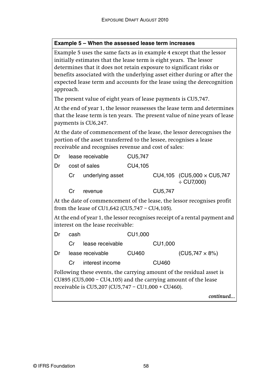#### **Example 5 – When the assessed lease term increases**

Example 5 uses the same facts as in example 4 except that the lessor initially estimates that the lease term is eight years. The lessor determines that it does not retain exposure to significant risks or benefits associated with the underlying asset either during or after the expected lease term and accounts for the lease using the derecognition approach.

The present value of eight years of lease payments is CU5,747.

At the end of year 1, the lessor reassesses the lease term and determines that the lease term is ten years. The present value of nine years of lease payments is CU6,247.

At the date of commencement of the lease, the lessor derecognises the portion of the asset transferred to the lessee, recognises a lease receivable and recognises revenue and cost of sales:

| Dr                                                                     |    | lease receivable | CU5,747 |         |                                               |
|------------------------------------------------------------------------|----|------------------|---------|---------|-----------------------------------------------|
| Dr                                                                     |    | cost of sales    | CU4,105 |         |                                               |
|                                                                        | Cr | underlying asset |         |         | CU4,105 (CU5,000 x CU5,747<br>$\div$ CU7,000) |
|                                                                        | Cr | revenue          |         | CU5.747 |                                               |
| At the date of commencement of the lease, the lessor recognises profit |    |                  |         |         |                                               |

from the lease of CU1,642 (CU5,747 – CU4,105).

At the end of year 1, the lessor recognises receipt of a rental payment and interest on the lease receivable:

| Dr                                                                                                                                                                                           | cash |                  | CU1,000 |         |                        |  |
|----------------------------------------------------------------------------------------------------------------------------------------------------------------------------------------------|------|------------------|---------|---------|------------------------|--|
|                                                                                                                                                                                              | Cr   | lease receivable |         | CU1,000 |                        |  |
| Dr                                                                                                                                                                                           |      | lease receivable | CU460   |         | $(CU5,747 \times 8\%)$ |  |
|                                                                                                                                                                                              | Сr   | interest income  |         | CU460   |                        |  |
| Following these events, the carrying amount of the residual asset is<br>CU895 (CU5,000 - CU4,105) and the carrying amount of the lease<br>receivable is CU5,207 (CU5,747 - CU1,000 + CU460). |      |                  |         |         |                        |  |

*continued...*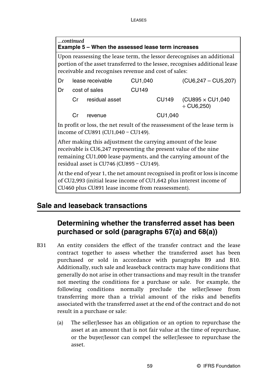#### *...continued* **Example 5 – When the assessed lease term increases**

Upon reassessing the lease term, the lessor derecognises an additional portion of the asset transferred to the lessee, recognises additional lease receivable and recognises revenue and cost of sales:

| Dr |     | lease receivable | CU1,040           |         | $(CU6, 247 - CU5, 207)$                     |
|----|-----|------------------|-------------------|---------|---------------------------------------------|
| Dr |     | cost of sales    | CU <sub>149</sub> |         |                                             |
|    | Cr. | residual asset   |                   | CU149   | $(CU895 \times CU1,040)$<br>$\div$ CU6,250) |
|    | Cr  | revenue          |                   | CU1,040 |                                             |

In profit or loss, the net result of the reassessment of the lease term is income of CU891 (CU1,040 – CU149).

After making this adjustment the carrying amount of the lease receivable is CU6,247 representing the present value of the nine remaining CU1,000 lease payments, and the carrying amount of the residual asset is CU746 (CU895 – CU149).

At the end of year 1, the net amount recognised in profit or loss is income of CU2,993 (initial lease income of CU1,642 plus interest income of CU460 plus CU891 lease income from reassessment).

# **Sale and leaseback transactions**

# **Determining whether the transferred asset has been purchased or sold (paragraphs 67(a) and 68(a))**

- B31 An entity considers the effect of the transfer contract and the lease contract together to assess whether the transferred asset has been purchased or sold in accordance with paragraphs B9 and B10. Additionally, such sale and leaseback contracts may have conditions that generally do not arise in other transactions and may result in the transfer not meeting the conditions for a purchase or sale. For example, the following conditions normally preclude the seller/lessee from transferring more than a trivial amount of the risks and benefits associated with the transferred asset at the end of the contract and do not result in a purchase or sale:
	- (a) The seller/lessee has an obligation or an option to repurchase the asset at an amount that is not fair value at the time of repurchase, or the buyer/lessor can compel the seller/lessee to repurchase the asset.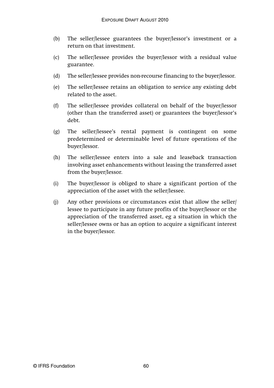- (b) The seller/lessee guarantees the buyer/lessor's investment or a return on that investment.
- (c) The seller/lessee provides the buyer/lessor with a residual value guarantee.
- (d) The seller/lessee provides non-recourse financing to the buyer/lessor.
- (e) The seller/lessee retains an obligation to service any existing debt related to the asset.
- (f) The seller/lessee provides collateral on behalf of the buyer/lessor (other than the transferred asset) or guarantees the buyer/lessor's debt.
- (g) The seller/lessee's rental payment is contingent on some predetermined or determinable level of future operations of the buyer/lessor.
- (h) The seller/lessee enters into a sale and leaseback transaction involving asset enhancements without leasing the transferred asset from the buyer/lessor.
- (i) The buyer/lessor is obliged to share a significant portion of the appreciation of the asset with the seller/lessee.
- (j) Any other provisions or circumstances exist that allow the seller/ lessee to participate in any future profits of the buyer/lessor or the appreciation of the transferred asset, eg a situation in which the seller/lessee owns or has an option to acquire a significant interest in the buyer/lessor.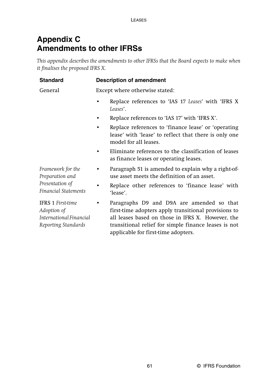# **Appendix C Amendments to other IFRSs**

*This appendix describes the amendments to other IFRSs that the Board expects to make when it finalises the proposed IFRS X.* 

| <b>Standard</b>                                                    |   | <b>Description of amendment</b>                                                                                                                        |
|--------------------------------------------------------------------|---|--------------------------------------------------------------------------------------------------------------------------------------------------------|
| General                                                            |   | Except where otherwise stated:                                                                                                                         |
|                                                                    | ٠ | Replace references to 'IAS 17 Leases' with 'IFRS X<br>Leases'.                                                                                         |
|                                                                    |   | Replace references to 'IAS 17' with 'IFRS X'.                                                                                                          |
|                                                                    | ٠ | Replace references to 'finance lease' or 'operating<br>lease' with 'lease' to reflect that there is only one<br>model for all leases.                  |
|                                                                    | ٠ | Eliminate references to the classification of leases<br>as finance leases or operating leases.                                                         |
| Framework for the<br>Preparation and                               |   | Paragraph 51 is amended to explain why a right-of-<br>use asset meets the definition of an asset.                                                      |
| Presentation of<br><b>Financial Statements</b>                     | ٠ | Replace other references to 'finance lease' with<br>'lease'.                                                                                           |
| <b>IFRS 1 First-time</b><br>Adoption of<br>International Financial | ٠ | Paragraphs D9 and D9A are amended so that<br>first-time adopters apply transitional provisions to<br>all leases based on those in IFRS X. However, the |

transitional relief for simple finance leases is not

applicable for first-time adopters.

*International Financial Reporting Standards*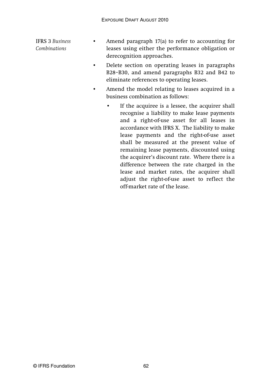IFRS 3 *Business Combinations*

- Amend paragraph 17(a) to refer to accounting for leases using either the performance obligation or derecognition approaches.
- Delete section on operating leases in paragraphs B28–B30, and amend paragraphs B32 and B42 to eliminate references to operating leases.
- Amend the model relating to leases acquired in a business combination as follows:
	- If the acquiree is a lessee, the acquirer shall recognise a liability to make lease payments and a right-of-use asset for all leases in accordance with IFRS X. The liability to make lease payments and the right-of-use asset shall be measured at the present value of remaining lease payments, discounted using the acquirer's discount rate. Where there is a difference between the rate charged in the lease and market rates, the acquirer shall adjust the right-of-use asset to reflect the off-market rate of the lease.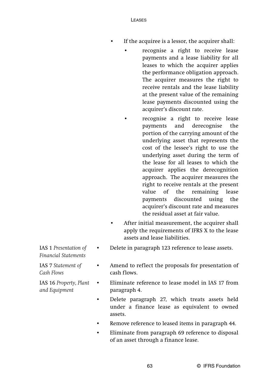- If the acquiree is a lessor, the acquirer shall:
	- recognise a right to receive lease payments and a lease liability for all leases to which the acquirer applies the performance obligation approach. The acquirer measures the right to receive rentals and the lease liability at the present value of the remaining lease payments discounted using the acquirer's discount rate.
		- recognise a right to receive lease payments and derecognise the portion of the carrying amount of the underlying asset that represents the cost of the lessee's right to use the underlying asset during the term of the lease for all leases to which the acquirer applies the derecognition approach. The acquirer measures the right to receive rentals at the present value of the remaining lease payments discounted using the acquirer's discount rate and measures the residual asset at fair value.
- After initial measurement, the acquirer shall apply the requirements of IFRS X to the lease assets and lease liabilities.
- IAS 1 *Presentation of Financial Statements*
- IAS 7 *Statement of Cash Flows*
- IAS 16 *Property, Plant and Equipment*

cash flows.

- Delete in paragraph 123 reference to lease assets. • Amend to reflect the proposals for presentation of
- Eliminate reference to lease model in IAS 17 from paragraph 4.
- Delete paragraph 27, which treats assets held under a finance lease as equivalent to owned assets.
- Remove reference to leased items in paragraph 44.
- Eliminate from paragraph 69 reference to disposal of an asset through a finance lease.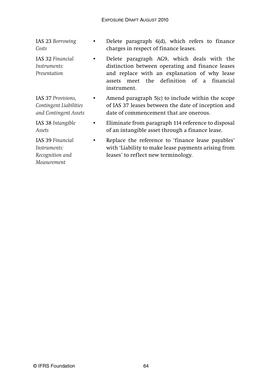IAS 23 *Borrowing Costs*

- Delete paragraph 6(d), which refers to finance charges in respect of finance leases.
- IAS 32 *Financial Instruments: Presentation* • Delete paragraph AG9, which deals with the distinction between operating and finance leases and replace with an explanation of why lease assets meet the definition of a financial instrument.
- IAS 37 *Provisions, Contingent Liabilities and Contingent Assets* • Amend paragraph 5(c) to include within the scope of IAS 37 leases between the date of inception and date of commencement that are onerous.
- IAS 38 *Intangible Assets*

IAS 39 *Financial Instruments: Recognition and Measurement*

- Eliminate from paragraph 114 reference to disposal of an intangible asset through a finance lease.
- Replace the reference to 'finance lease payables' with 'Liability to make lease payments arising from leases' to reflect new terminology.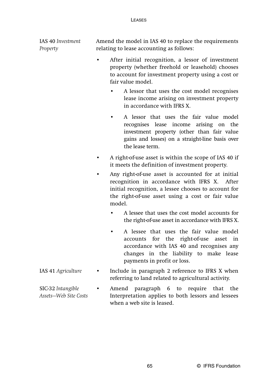| IAS 40 Investment<br>Property | Amend the model in IAS 40 to replace the requirements<br>relating to lease accounting as follows:                                                                                                                            |  |  |
|-------------------------------|------------------------------------------------------------------------------------------------------------------------------------------------------------------------------------------------------------------------------|--|--|
|                               | After initial recognition, a lessor of investment<br>property (whether freehold or leasehold) chooses<br>to account for investment property using a cost or<br>fair value model.                                             |  |  |
|                               | A lessor that uses the cost model recognises<br>lease income arising on investment property<br>in accordance with IFRS X.                                                                                                    |  |  |
|                               | A lessor that uses the fair value model<br>recognises lease income arising on<br>the<br>investment property (other than fair value<br>gains and losses) on a straight-line basis over<br>the lease term.                     |  |  |
|                               | A right-of-use asset is within the scope of IAS 40 if<br>it meets the definition of investment property.                                                                                                                     |  |  |
|                               | Any right-of-use asset is accounted for at initial<br>recognition in accordance with IFRS X.<br>After<br>initial recognition, a lessee chooses to account for<br>the right-of-use asset using a cost or fair value<br>model. |  |  |
|                               | A lessee that uses the cost model accounts for<br>the right-of-use asset in accordance with IFRS X.                                                                                                                          |  |  |
|                               | A lessee that uses the fair value model<br>accounts for the right-of-use asset in<br>accordance with IAS 40 and recognises any<br>changes in the liability to make lease<br>payments in profit or loss.                      |  |  |
| IAS 41 Agriculture            | Include in paragraph 2 reference to IFRS X when<br>referring to land related to agricultural activity.                                                                                                                       |  |  |

SIC-32 *Intangible Assets—Web Site Costs* • Amend paragraph 6 to require that the Interpretation applies to both lessors and lessees when a web site is leased.